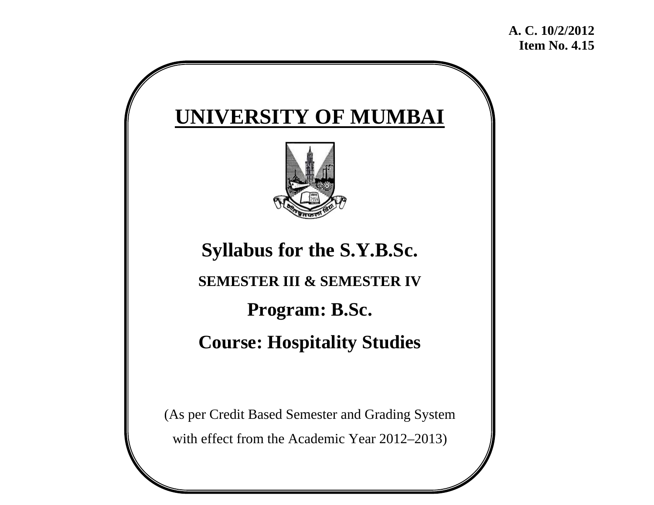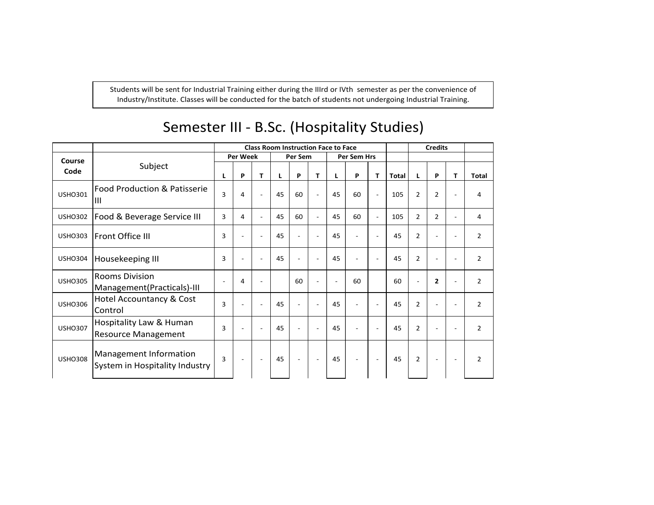Students will be sent for Industrial Training either during the IIIrd or IVth semester as per the convenience of Industry/Institute. Classes will be conducted for the batch of students not undergoing Industrial Training.

|                |                                                          | <b>Class Room Instruction Face to Face</b> |                          |                          |    |                          |                          |                          |                          | <b>Credits</b> |              |                          |                          |                          |                |
|----------------|----------------------------------------------------------|--------------------------------------------|--------------------------|--------------------------|----|--------------------------|--------------------------|--------------------------|--------------------------|----------------|--------------|--------------------------|--------------------------|--------------------------|----------------|
| Course         |                                                          |                                            | <b>Per Week</b>          |                          |    | Per Sem                  |                          |                          | <b>Per Sem Hrs</b>       |                |              |                          |                          |                          |                |
| Code           | Subject                                                  | L                                          | P                        | т                        | L  | P                        | т                        | L                        | P                        | T.             | <b>Total</b> |                          | P                        | T.                       | <b>Total</b>   |
| <b>USHO301</b> | Food Production & Patisserie<br>ШI                       |                                            | 4                        |                          | 45 | 60                       |                          | 45                       | 60                       | $\mathbf{r}$   | 105          | $\overline{2}$           | $\overline{2}$           | $\blacksquare$           | 4              |
| <b>USHO302</b> | Food & Beverage Service III                              |                                            | 4                        |                          | 45 | 60                       |                          | 45                       | 60                       |                | 105          | $\overline{2}$           | $\overline{2}$           | $\overline{\phantom{a}}$ | 4              |
| <b>USHO303</b> | Front Office III                                         | 3                                          | $\overline{a}$           |                          | 45 | $\overline{a}$           |                          | 45                       | $\overline{a}$           |                | 45           | $\overline{2}$           |                          | ٠                        | $\overline{2}$ |
| <b>USHO304</b> | Housekeeping III                                         | 3                                          | $\overline{a}$           | $\overline{\phantom{a}}$ | 45 | $\overline{a}$           | $\overline{\phantom{a}}$ | 45                       | $\overline{\phantom{a}}$ |                | 45           | $\overline{2}$           | $\overline{\phantom{a}}$ | $\blacksquare$           | $\overline{2}$ |
| <b>USHO305</b> | <b>Rooms Division</b><br>Management (Practicals)-III     |                                            | 4                        | $\overline{a}$           |    | 60                       | $\overline{\phantom{a}}$ | $\overline{\phantom{a}}$ | 60                       |                | 60           | $\overline{\phantom{a}}$ | $\overline{2}$           | $\sim$                   | $\overline{2}$ |
| <b>USHO306</b> | Hotel Accountancy & Cost<br>Control                      | 3                                          |                          | $\overline{a}$           | 45 | $\overline{a}$           | $\overline{\phantom{a}}$ | 45                       | $\overline{\phantom{a}}$ |                | 45           | $\overline{2}$           | $\overline{\phantom{a}}$ | ÷                        | $\overline{2}$ |
| <b>USHO307</b> | Hospitality Law & Human<br><b>Resource Management</b>    |                                            | $\overline{\phantom{a}}$ | $\overline{\phantom{a}}$ | 45 | $\overline{\phantom{a}}$ | $\overline{\phantom{a}}$ | 45                       | $\overline{\phantom{a}}$ |                | 45           | $\overline{2}$           | $\overline{\phantom{0}}$ | $\overline{\phantom{a}}$ | $\overline{2}$ |
| <b>USHO308</b> | Management Information<br>System in Hospitality Industry | 3                                          | ٠                        | $\sim$                   | 45 | $\blacksquare$           | $\sim$                   | 45                       | $\overline{\phantom{a}}$ | $\sim$         | 45           | $\overline{2}$           | $\overline{\phantom{a}}$ | $\overline{\phantom{a}}$ | $\overline{2}$ |

# Semester III ‐ B.Sc. (Hospitality Studies)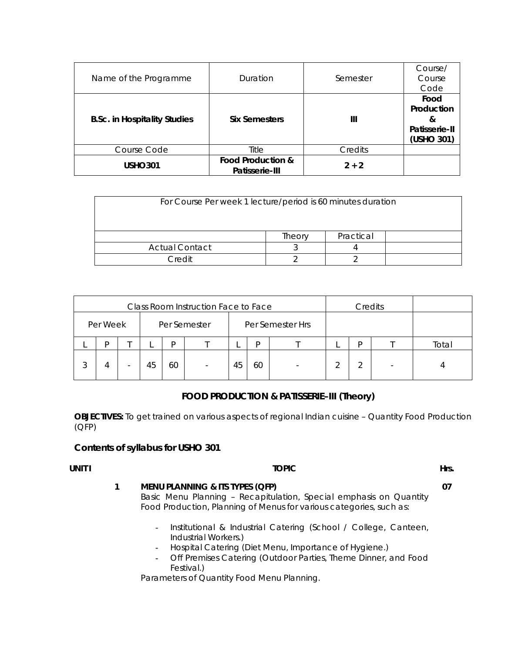| Name of the Programme               | Duration                                       | Semester | Course/<br>Course<br>Code                              |
|-------------------------------------|------------------------------------------------|----------|--------------------------------------------------------|
| <b>B.Sc. in Hospitality Studies</b> | <b>Six Semesters</b>                           | Ш        | Food<br>Production<br>&<br>Patisserie-II<br>(USHO 301) |
| Course Code                         | Title                                          | Credits  |                                                        |
| <b>USHO301</b>                      | <b>Food Production &amp;</b><br>Patisserie-III | $2 + 2$  |                                                        |

| For Course Per week 1 lecture/period is 60 minutes duration |        |           |  |  |  |  |
|-------------------------------------------------------------|--------|-----------|--|--|--|--|
|                                                             | Theory | Practical |  |  |  |  |
| <b>Actual Contact</b>                                       |        |           |  |  |  |  |
| Credit                                                      |        |           |  |  |  |  |

| Class Room Instruction Face to Face |          |                          |    |    |                          |    |    | Credits          |   |   |       |
|-------------------------------------|----------|--------------------------|----|----|--------------------------|----|----|------------------|---|---|-------|
|                                     | Per Week |                          |    |    | Per Semester             |    |    | Per Semester Hrs |   |   |       |
|                                     | D        |                          |    | D  |                          |    | D  |                  |   | D | Total |
| 3                                   | 4        | $\overline{\phantom{a}}$ | 45 | 60 | $\overline{\phantom{a}}$ | 45 | 60 |                  | ⌒ |   |       |

# **FOOD PRODUCTION & PATISSERIE–III (Theory)**

**OBJECTIVES:** To get trained on various aspects of regional Indian cuisine – Quantity Food Production (QFP)

# **Contents of syllabus for USHO 301**

# **UNIT I Hrs. EXECUTE: EXECUTE: EXECUTE: EXECUTE: EXECUTE: EXECUTE: EXECUTE: EXECUTE: 1 MENU PLANNING & ITS TYPES (QFP)**  Basic Menu Planning – Recapitulation, Special emphasis on Quantity Food Production, Planning of Menus for various categories, such as: **07**

- **-** Institutional & Industrial Catering (School / College, Canteen, Industrial Workers.)
- **-** Hospital Catering (Diet Menu, Importance of Hygiene.)
- **-** Off Premises Catering (Outdoor Parties, Theme Dinner, and Food Festival.)

Parameters of Quantity Food Menu Planning.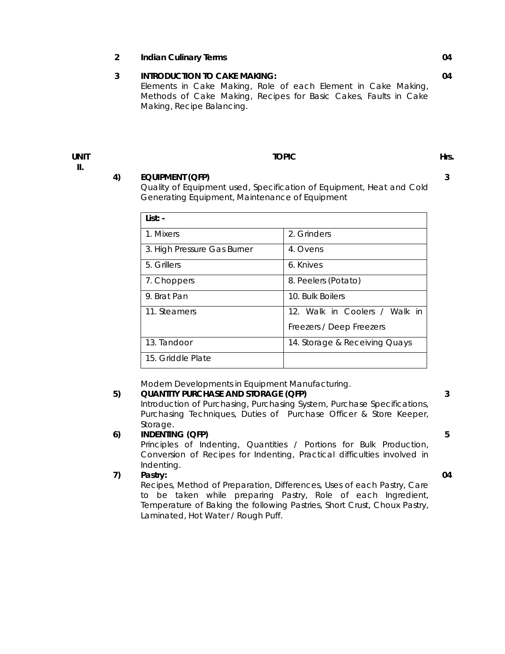**2 Indian Culinary Terms 04 3 INTRODUCTION TO CAKE MAKING:**  Elements in Cake Making, Role of each Element in Cake Making, Methods of Cake Making, Recipes for Basic Cakes, Faults in Cake Making, Recipe Balancing. **04** 

**UNIT II.** 

#### **TOPIC Hrs. Hrs. Hrs. Hrs. Hrs. Hrs. Hrs. Hrs. Hrs. Hrs. Hrs. Hrs. Hrs. Hrs. Hrs. Hrs. Hrs. Hrs. Hrs. Hrs. Hrs. Hrs. Hrs. Hrs. Hrs. Hrs. Hrs. Hrs. Hrs. Hrs. Hrs.**

**3** 

#### **4) EQUIPMENT (QFP)**

Quality of Equipment used, Specification of Equipment, Heat and Cold Generating Equipment, Maintenance of Equipment

| List: -                     |                               |
|-----------------------------|-------------------------------|
| 1. Mixers                   | 2. Grinders                   |
| 3. High Pressure Gas Burner | 4. Ovens                      |
| 5. Grillers                 | 6. Knives                     |
| 7. Choppers                 | 8. Peelers (Potato)           |
| 9. Brat Pan                 | 10. Bulk Boilers              |
| 11. Steamers                | 12. Walk in Coolers / Walk in |
|                             | Freezers / Deep Freezers      |
| 13. Tandoor                 | 14. Storage & Receiving Quays |
| 15. Griddle Plate           |                               |

Modern Developments in Equipment Manufacturing.

# **5) QUANTITY PURCHASE AND STORAGE (QFP)**

Introduction of Purchasing, Purchasing System, Purchase Specifications, Purchasing Techniques, Duties of Purchase Officer & Store Keeper, Storage.

# **6) INDENTING (QFP)**

Principles of Indenting, Quantities / Portions for Bulk Production, Conversion of Recipes for Indenting, Practical difficulties involved in Indenting.

# **7) Pastry:**

Recipes, Method of Preparation, Differences, Uses of each Pastry, Care to be taken while preparing Pastry, Role of each Ingredient, Temperature of Baking the following Pastries, Short Crust, Choux Pastry, Laminated, Hot Water / Rough Puff.

**5** 

**3** 

#### **04**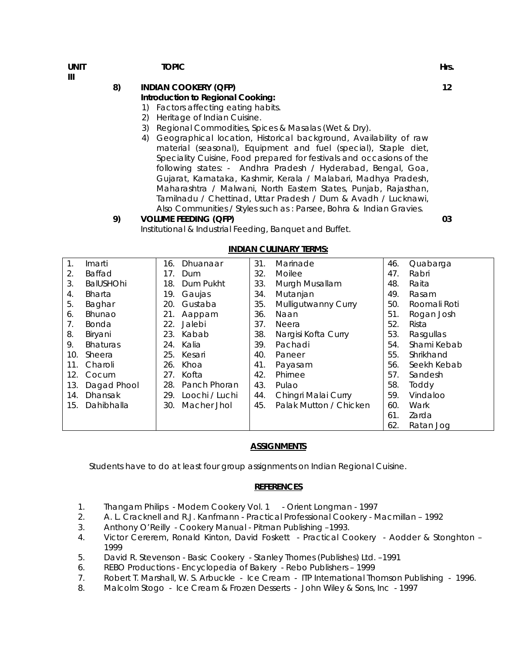**UNIT III** 

#### **TOPIC EXECUTIVE EXECUTIVE EXECUTIVE EXECUTIVE EXECUTIVE EXECUTIVE EXECUTIVE EXECUTIVE EXECUTIVE EXECUTIVE EXECU**

# **8) INDIAN COOKERY (QFP)**

# **Introduction to Regional Cooking:**

- 1) Factors affecting eating habits.
- 2) Heritage of Indian Cuisine.
- 3) Regional Commodities, Spices & Masalas (Wet & Dry).
- 4) Geographical location, Historical background, Availability of raw material (seasonal), Equipment and fuel (special), Staple diet, Speciality Cuisine, Food prepared for festivals and occasions of the following states: - Andhra Pradesh / Hyderabad, Bengal, Goa, Gujarat, Karnataka, Kashmir, Kerala / Malabari, Madhya Pradesh, Maharashtra / Malwani, North Eastern States, Punjab, Rajasthan, Tamilnadu / Chettinad, Uttar Pradesh / Dum & Avadh / Lucknawi, Also Communities / Styles such as : Parsee, Bohra & Indian Gravies.

#### **9) VOLUME FEEDING (QFP)**

Institutional & Industrial Feeding, Banquet and Buffet.

| $\mathbf{1}$ . | Imarti           | 16. | Dhuanaar       | 31. | Marinade               | 46. | Quabarga     |
|----------------|------------------|-----|----------------|-----|------------------------|-----|--------------|
| 2.             | <b>Baffad</b>    | 17. | Dum            | 32. | Moilee                 | 47. | Rabri        |
| 3.             | <b>BalUSHOhi</b> | 18. | Dum Pukht      | 33. | Murgh Musallam         | 48. | Raita        |
| 4.             | <b>Bharta</b>    | 19. | Gaujas         | 34. | Mutanjan               | 49. | Rasam        |
| 5.             | Baghar           | 20. | Gustaba        | 35. | Mulligutwanny Curry    | 50. | Roomali Roti |
| 6.             | <b>Bhunao</b>    | 21. | Aappam         | 36. | Naan                   | 51. | Rogan Josh   |
| 7.             | <b>Bonda</b>     | 22. | Jalebi         | 37. | Neera                  | 52. | Rista        |
| 8.             | Biryani          | 23. | Kabab          | 38. | Nargisi Kofta Curry    | 53. | Rasgullas    |
| 9.             | <b>Bhaturas</b>  | 24. | Kalia          | 39. | Pachadi                | 54. | Shami Kebab  |
| 10.            | Sheera           | 25. | Kesari         | 40. | Paneer                 | 55. | Shrikhand    |
| 11.            | Charoli          | 26. | Khoa           | 41. | Payasam                | 56. | Seekh Kebab  |
| 12.            | Cocum            | 27. | Kofta          | 42. | Phirnee                | 57. | Sandesh      |
| 13.            | Dagad Phool      | 28. | Panch Phoran   | 43. | Pulao                  | 58. | Toddy        |
| 14.            | <b>Dhansak</b>   | 29. | Loochi / Luchi | 44. | Chingri Malai Curry    | 59. | Vindaloo     |
| 15.            | Dahibhalla       | 30. | Macher Jhol    | 45. | Palak Mutton / Chicken | 60. | Wark         |
|                |                  |     |                |     |                        | 61. | Zarda        |
|                |                  |     |                |     |                        | 62. | Ratan Jog    |
|                |                  |     |                |     |                        |     |              |

#### **INDIAN CULINARY TERMS:**

#### **ASSIGNMENTS**

Students have to do at least four group assignments on Indian Regional Cuisine.

#### **REFERENCES**

- 1. Thangam Philips Modern Cookery Vol. 1 Orient Longman 1997
- 2. A. L. Cracknell and R.J. Kanfmann Practical Professional Cookery Macmillan 1992
- 3. Anthony O'Reilly Cookery Manual Pitman Publishing –1993.
- 4. Victor Cererem, Ronald Kinton, David Foskett Practical Cookery Aodder & Stonghton 1999
- 5. David R. Stevenson Basic Cookery Stanley Thornes (Publishes) Ltd. –1991
- 6. REBO Productions Encyclopedia of Bakery Rebo Publishers 1999
- 7. Robert T. Marshall, W. S. Arbuckle Ice Cream ITP International Thomson Publishing 1996.
- 8. Malcolm Stogo Ice Cream & Frozen Desserts John Wiley & Sons, Inc 1997

**12** 

**03**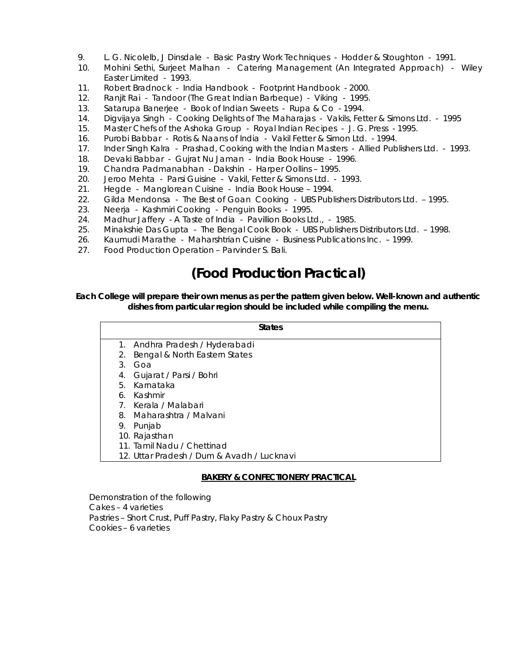- 9. L. G. Nicolelb, J Dinsdale Basic Pastry Work Techniques Hodder & Stoughton 1991.
- 10. Mohini Sethi, Surjeet Malhan Catering Management (An Integrated Approach) Wiley Easter Limited - 1993.
- 11. Robert Bradnock India Handbook Footprint Handbook 2000.
- 12. Ranjit Rai Tandoor (The Great Indian Barbeque) Viking 1995.
- 13. Satarupa Banerjee Book of Indian Sweets Rupa & Co 1994.
- 14. Digvijaya Singh Cooking Delights of The Maharajas Vakils, Fetter & Simons Ltd. 1995
- 15. Master Chefs of the Ashoka Group Royal Indian Recipes J. G. Press 1995.
- 16. Purobi Babbar Rotis & Naans of India Vakil Fetter & Simon Ltd. 1994.
- 17. Inder Singh Kalra Prashad, Cooking with the Indian Masters Allied Publishers Ltd. 1993.
- 18. Devaki Babbar Gujrat Nu Jaman India Book House 1996.
- 19. Chandra Padmanabhan Dakshin Harper Oollins 1995.
- 20. Jeroo Mehta Parsi Guisine Vakil, Fetter & Simons Ltd. 1993.
- 21. Hegde Manglorean Cuisine India Book House 1994.
- 22. Gilda Mendonsa The Best of Goan Cooking UBS Publishers Distributors Ltd. 1995.
- 23. Neerja Kashmiri Cooking Penguin Books 1995.
- 24. Madhur Jaffery A Taste of India Pavillion Books Ltd., 1985.
- 25. Minakshie Das Gupta The Bengal Cook Book UBS Publishers Distributors Ltd. 1998.
- 26. Kaumudi Marathe Maharshtrian Cuisine Business Publications Inc. 1999.
- 27. Food Production Operation Parvinder S. Bali.

# **(Food Production Practical)**

#### **Each College will prepare their own menus as per the pattern given below. Well-known and authentic dishes from particular region should be included while compiling the menu.**

|    | <b>States</b>                              |
|----|--------------------------------------------|
|    | 1. Andhra Pradesh / Hyderabadi             |
| 2. | Bengal & North Eastern States              |
| 3. | Goa                                        |
| 4. | Gujarat / Parsi / Bohri                    |
| 5. | Karnataka                                  |
| 6. | Kashmir                                    |
|    | 7. Kerala / Malabari                       |
| 8. | Maharashtra / Malvani                      |
| 9. | Punjab                                     |
|    | 10. Rajasthan                              |
|    | 11. Tamil Nadu / Chettinad                 |
|    | 12. Uttar Pradesh / Dum & Avadh / Lucknavi |

# **BAKERY & CONFECTIONERY PRACTICAL**

Demonstration of the following Cakes – 4 varieties Pastries – Short Crust, Puff Pastry, Flaky Pastry & Choux Pastry Cookies – 6 varieties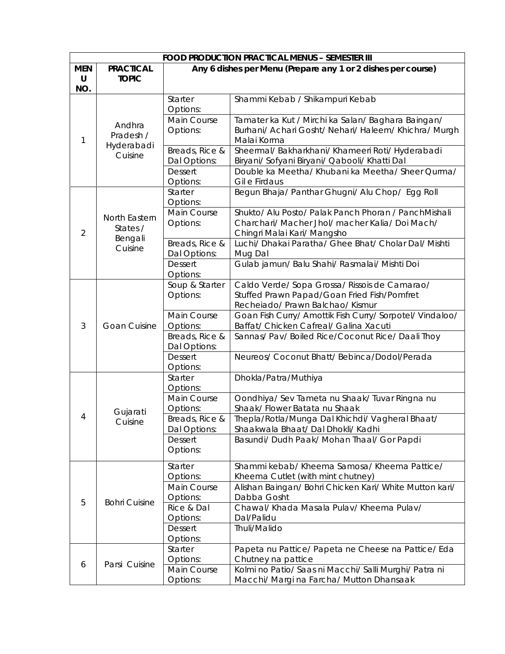|            | <b>FOOD PRODUCTION PRACTICAL MENUS - SEMESTER III</b> |                                |                                                                                                   |  |  |  |
|------------|-------------------------------------------------------|--------------------------------|---------------------------------------------------------------------------------------------------|--|--|--|
| <b>MEN</b> | <b>PRACTICAL</b>                                      |                                | Any 6 dishes per Menu (Prepare any 1 or 2 dishes per course)                                      |  |  |  |
| U          | <b>TOPIC</b>                                          |                                |                                                                                                   |  |  |  |
| NO.        |                                                       |                                |                                                                                                   |  |  |  |
|            |                                                       | Starter<br>Options:            | Shammi Kebab / Shikampuri Kebab                                                                   |  |  |  |
|            |                                                       | Main Course                    | Tamater ka Kut / Mirchi ka Salan/ Baghara Baingan/                                                |  |  |  |
|            | Andhra<br>Pradesh /                                   | Options:                       | Burhani/ Achari Gosht/ Nehari/ Haleem/ Khichra/ Murgh                                             |  |  |  |
| 1          | Hyderabadi                                            |                                | Malai Korma                                                                                       |  |  |  |
|            | Cuisine                                               | Breads, Rice &<br>Dal Options: | Sheermal/ Bakharkhani/ Khameeri Roti/ Hyderabadi<br>Biryani/ Sofyani Biryani/ Qabooli/ Khatti Dal |  |  |  |
|            |                                                       | <b>Dessert</b><br>Options:     | Double ka Meetha/ Khubani ka Meetha/ Sheer Qurma/<br>Gil e Firdaus                                |  |  |  |
|            |                                                       | Starter<br>Options:            | Begun Bhaja/ Panthar Ghugni/ Alu Chop/ Egg Roll                                                   |  |  |  |
|            |                                                       | Main Course                    | Shukto/ Alu Posto/ Palak Panch Phoran / PanchMishali                                              |  |  |  |
|            | North Eastern                                         | Options:                       | Charchari/ Macher Jhol/ macher Kalia/ Doi Mach/                                                   |  |  |  |
| 2          | States /                                              |                                | Chingri Malai Kari/ Mangsho                                                                       |  |  |  |
|            | Bengali<br>Cuisine                                    | Breads, Rice &                 | Luchi/ Dhakai Paratha/ Ghee Bhat/ Cholar Dal/ Mishti                                              |  |  |  |
|            |                                                       | Dal Options:                   | Mug Dal                                                                                           |  |  |  |
|            |                                                       | <b>Dessert</b>                 | Gulab jamun/ Balu Shahi/ Rasmalai/ Mishti Doi                                                     |  |  |  |
|            |                                                       | Options:                       |                                                                                                   |  |  |  |
|            |                                                       | Soup & Starter                 | Caldo Verde/ Sopa Grossa/ Rissois de Camarao/                                                     |  |  |  |
|            |                                                       | Options:                       | Stuffed Prawn Papad/Goan Fried Fish/Pomfret                                                       |  |  |  |
|            | <b>Goan Cuisine</b>                                   |                                | Recheiado/ Prawn Balchao/ Kismur                                                                  |  |  |  |
|            |                                                       | Main Course                    | Goan Fish Curry/ Amottik Fish Curry/ Sorpotel/ Vindaloo/                                          |  |  |  |
| 3          |                                                       | Options:                       | Baffat/ Chicken Cafreal/ Galina Xacuti                                                            |  |  |  |
|            |                                                       | Breads, Rice &                 | Sannas/ Pav/ Boiled Rice/Coconut Rice/ Daali Thoy                                                 |  |  |  |
|            |                                                       | Dal Options:                   |                                                                                                   |  |  |  |
|            |                                                       | <b>Dessert</b>                 | Neureos/ Coconut Bhatt/ Bebinca/Dodol/Perada                                                      |  |  |  |
|            |                                                       | Options:                       |                                                                                                   |  |  |  |
|            |                                                       | Starter<br>Options:            | Dhokla/Patra/Muthiya                                                                              |  |  |  |
|            |                                                       | Main Course                    | Oondhiya/ Sev Tameta nu Shaak/ Tuvar Ringna nu                                                    |  |  |  |
|            |                                                       | Options:                       | Shaak/Flower Batata nu Shaak                                                                      |  |  |  |
| 4          | Gujarati                                              | Breads, Rice &                 | Thepla/Rotla/Munga Dal Khichdi/ Vagheral Bhaat/                                                   |  |  |  |
|            | Cuisine                                               | Dal Options:                   | Shaakwala Bhaat/ Dal Dhokli/ Kadhi                                                                |  |  |  |
|            |                                                       | <b>Dessert</b>                 | Basundi/ Dudh Paak/ Mohan Thaal/ Gor Papdi                                                        |  |  |  |
|            |                                                       | Options:                       |                                                                                                   |  |  |  |
|            |                                                       | Starter                        | Shammi kebab/ Kheema Samosa/ Kheema Pattice/                                                      |  |  |  |
|            |                                                       | Options:                       | Kheema Cutlet (with mint chutney)                                                                 |  |  |  |
|            |                                                       | Main Course                    | Alishan Baingan/ Bohri Chicken Kari/ White Mutton kari/                                           |  |  |  |
| 5          | <b>Bohri Cuisine</b>                                  | Options:                       | Dabba Gosht                                                                                       |  |  |  |
|            |                                                       | Rice & Dal                     | Chawal/ Khada Masala Pulav/ Kheema Pulav/                                                         |  |  |  |
|            |                                                       | Options:                       | Dal/Palidu                                                                                        |  |  |  |
|            |                                                       | <b>Dessert</b>                 | Thuli/Malido                                                                                      |  |  |  |
|            |                                                       | Options:                       |                                                                                                   |  |  |  |
|            |                                                       | Starter                        | Papeta nu Pattice/ Papeta ne Cheese na Pattice/ Eda                                               |  |  |  |
| 6          | Parsi Cuisine                                         | Options:                       | Chutney na pattice                                                                                |  |  |  |
|            |                                                       | Main Course                    | Kolmi no Patio/ Saas ni Macchi/ Salli Murghi/ Patra ni                                            |  |  |  |
|            |                                                       | Options:                       | Macchi/ Margi na Farcha/ Mutton Dhansaak                                                          |  |  |  |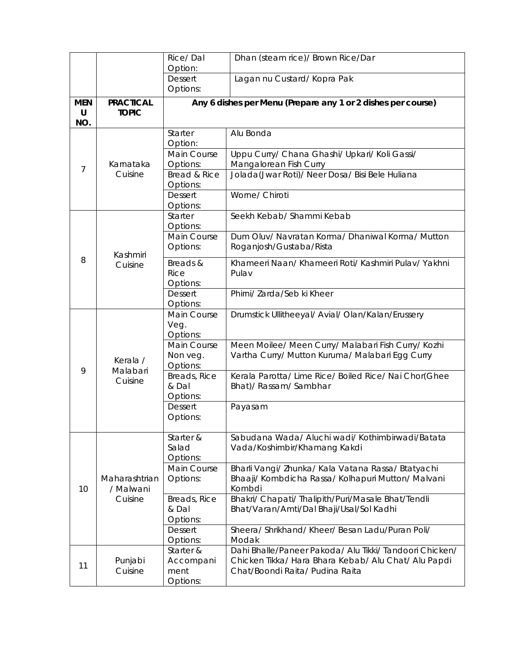|                        |                                  | Rice/Dal<br>Option:                                | Dhan (steam rice)/ Brown Rice/Dar                                                                                                                  |
|------------------------|----------------------------------|----------------------------------------------------|----------------------------------------------------------------------------------------------------------------------------------------------------|
|                        |                                  | <b>Dessert</b>                                     | Lagan nu Custard/Kopra Pak                                                                                                                         |
|                        |                                  | Options:                                           |                                                                                                                                                    |
| <b>MEN</b><br>U<br>NO. | <b>PRACTICAL</b><br><b>TOPIC</b> |                                                    | Any 6 dishes per Menu (Prepare any 1 or 2 dishes per course)                                                                                       |
|                        |                                  | Starter                                            | Alu Bonda                                                                                                                                          |
| $\overline{7}$         | Karnataka<br>Cuisine             | Option:<br>Main Course<br>Options:<br>Bread & Rice | Uppu Curry/ Chana Ghashi/ Upkari/ Koli Gassi/<br>Mangalorean Fish Curry<br>Jolada(Jwar Roti)/ Neer Dosa/ Bisi Bele Huliana                         |
|                        |                                  | Options:<br><b>Dessert</b><br>Options:             | Worne/ Chiroti                                                                                                                                     |
|                        |                                  | Starter<br>Options:                                | Seekh Kebab/ Shammi Kebab                                                                                                                          |
|                        | Kashmiri                         | Main Course<br>Options:                            | Dum Oluv/ Navratan Korma/ Dhaniwal Korma/ Mutton<br>Roganjosh/Gustaba/Rista                                                                        |
| 8                      | Cuisine                          | Breads &<br><b>Rice</b><br>Options:                | Khameeri Naan/ Khameeri Roti/ Kashmiri Pulav/ Yakhni<br>Pulav                                                                                      |
|                        |                                  | <b>Dessert</b><br>Options:                         | Phirni/ Zarda/Seb ki Kheer                                                                                                                         |
|                        | Kerala /<br>Malabari<br>Cuisine  | Main Course<br>Veg.<br>Options:                    | Drumstick Ullitheeyal/ Avial/ Olan/Kalan/Erussery                                                                                                  |
|                        |                                  | Main Course<br>Non veg.<br>Options:                | Meen Moilee/ Meen Curry/ Malabari Fish Curry/ Kozhi<br>Vartha Curry/ Mutton Kuruma/ Malabari Egg Curry                                             |
| 9                      |                                  | Breads, Rice<br>& Dal<br>Options:                  | Kerala Parotta/ Lime Rice/ Boiled Rice/ Nai Chor(Ghee<br>Bhat)/ Rassam/ Sambhar                                                                    |
|                        |                                  | <b>Dessert</b><br>Options:                         | Payasam                                                                                                                                            |
|                        |                                  | Starter &<br>Salad<br>Options:                     | Sabudana Wada/ Aluchi wadi/ Kothimbirwadi/Batata<br>Vada/Koshimbir/Khamang Kakdi                                                                   |
| 10                     | Maharashtrian<br>/ Malwani       | Main Course<br>Options:                            | Bharli Vangi/ Zhunka/ Kala Vatana Rassa/ Btatyachi<br>Bhaaji/ Kombdicha Rassa/ Kolhapuri Mutton/ Malvani<br>Kombdi                                 |
|                        | Cuisine                          | Breads, Rice<br>& Dal<br>Options:                  | Bhakri/ Chapati/ Thalipith/Puri/Masale Bhat/Tendli<br>Bhat/Varan/Amti/Dal Bhaji/Usal/Sol Kadhi                                                     |
|                        |                                  | <b>Dessert</b><br>Options:                         | Sheera/Shrikhand/Kheer/Besan Ladu/Puran Poli/<br>Modak                                                                                             |
| 11                     | Punjabi<br>Cuisine               | Starter &<br>Accompani<br>ment<br>Options:         | Dahi Bhalle/Paneer Pakoda/ Alu Tikki/ Tandoori Chicken/<br>Chicken Tikka/ Hara Bhara Kebab/ Alu Chat/ Alu Papdi<br>Chat/Boondi Raita/ Pudina Raita |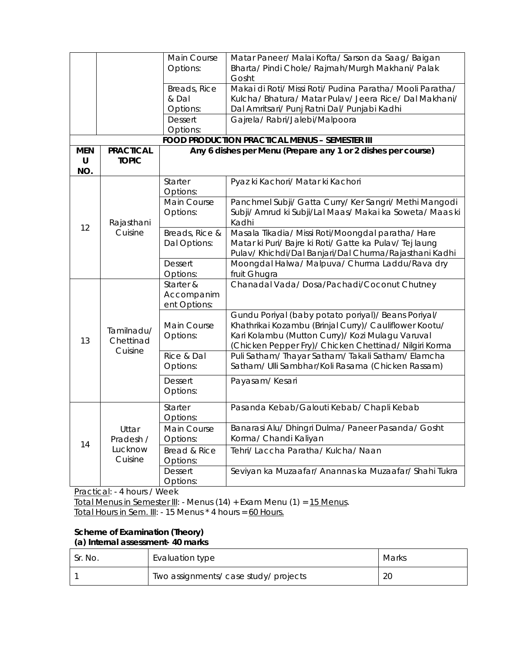|                             |                                          | Main Course<br>Options:                 | Matar Paneer/ Malai Kofta/ Sarson da Saag/ Baigan<br>Bharta/ Pindi Chole/ Rajmah/Murgh Makhani/ Palak<br>Gosht                                                                                                              |
|-----------------------------|------------------------------------------|-----------------------------------------|-----------------------------------------------------------------------------------------------------------------------------------------------------------------------------------------------------------------------------|
|                             |                                          | Breads, Rice<br>& Dal<br>Options:       | Makai di Roti/ Missi Roti/ Pudina Paratha/ Mooli Paratha/<br>Kulcha/ Bhatura/ Matar Pulav/ Jeera Rice/ Dal Makhani/<br>Dal Amritsari/ Punj Ratni Dal/ Punjabi Kadhi                                                         |
|                             |                                          | <b>Dessert</b><br>Options:              | Gajrela/ Rabri/Jalebi/Malpoora                                                                                                                                                                                              |
|                             |                                          |                                         | <b>FOOD PRODUCTION PRACTICAL MENUS - SEMESTER III</b>                                                                                                                                                                       |
| <b>MEN</b><br>$\cup$<br>NO. | <b>PRACTICAL</b><br><b>TOPIC</b>         |                                         | Any 6 dishes per Menu (Prepare any 1 or 2 dishes per course)                                                                                                                                                                |
|                             |                                          | Starter<br>Options:                     | Pyaz ki Kachori/ Matar ki Kachori                                                                                                                                                                                           |
|                             | Rajasthani<br>Cuisine                    | Main Course<br>Options:                 | Panchmel Subji/ Gatta Curry/ Ker Sangri/ Methi Mangodi<br>Subji/ Amrud ki Subji/Lal Maas/ Makai ka Soweta/ Maas ki<br>Kadhi                                                                                                 |
| 12                          |                                          | Breads, Rice &<br>Dal Options:          | Masala Tikadia/ Missi Roti/Moongdal paratha/ Hare<br>Matar ki Puri/ Bajre ki Roti/ Gatte ka Pulav/ Tej laung<br>Pulav/ Khichdi/Dal Banjari/Dal Churma/Rajasthani Kadhi                                                      |
|                             |                                          | <b>Dessert</b><br>Options:              | Moongdal Halwa/ Malpuva/ Churma Laddu/Rava dry<br>fruit Ghugra                                                                                                                                                              |
|                             | Tamilnadu/<br>Chettinad                  | Starter &<br>Accompanim<br>ent Options: | Chanadal Vada/Dosa/Pachadi/Coconut Chutney                                                                                                                                                                                  |
| 13                          |                                          | Main Course<br>Options:                 | Gundu Poriyal (baby potato poriyal)/ Beans Poriyal/<br>Khathrikai Kozambu (Brinjal Curry)/ Cauliflower Kootu/<br>Kari Kolambu (Mutton Curry)/ Kozi Mulagu Varuval<br>(Chicken Pepper Fry)/ Chicken Chettinad/ Nilgiri Korma |
|                             | Cuisine                                  | Rice & Dal<br>Options:                  | Puli Satham/ Thayar Satham/ Takali Satham/ Elamcha<br>Satham/ Ulli Sambhar/Koli Rasama (Chicken Rassam)                                                                                                                     |
|                             |                                          | <b>Dessert</b><br>Options:              | Payasam/Kesari                                                                                                                                                                                                              |
|                             |                                          | Starter<br>Options:                     | Pasanda Kebab/Galouti Kebab/ Chapli Kebab                                                                                                                                                                                   |
| 14                          | Uttar<br>Pradesh /<br>Lucknow<br>Cuisine | Main Course<br>Options:                 | Banarasi Alu/ Dhingri Dulma/ Paneer Pasanda/ Gosht<br>Korma/ Chandi Kaliyan                                                                                                                                                 |
|                             |                                          | Bread & Rice<br>Options:                | Tehri/ Laccha Paratha/ Kulcha/ Naan                                                                                                                                                                                         |
|                             |                                          | <b>Dessert</b><br>Options:              | Seviyan ka Muzaafar/ Anannas ka Muzaafar/ Shahi Tukra                                                                                                                                                                       |

Practical: - 4 hours / Week

Total Menus in Semester III: - Menus (14) + Exam Menu (1) = 15 Menus. Total Hours in Sem. III: - 15 Menus \* 4 hours = 60 Hours.

# **Scheme of Examination (Theory) (a) Internal assessment- 40 marks**

| Sr. No. | Evaluation type                       | Marks |
|---------|---------------------------------------|-------|
|         | Two assignments/ case study/ projects | 20    |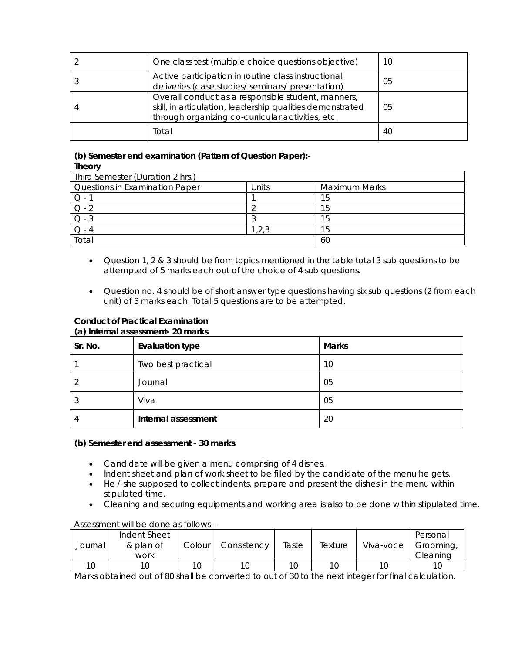| One class test (multiple choice questions objective)                                                                                                                 | 10 |
|----------------------------------------------------------------------------------------------------------------------------------------------------------------------|----|
| Active participation in routine class instructional<br>deliveries (case studies/ seminars/ presentation)                                                             | 05 |
| Overall conduct as a responsible student, manners,<br>skill, in articulation, leadership qualities demonstrated<br>through organizing co-curricular activities, etc. | 05 |
| Total                                                                                                                                                                | 40 |

# **(b) Semester end examination (Pattern of Question Paper):- Theory**

| Third Semester (Duration 2 hrs.) |       |                      |  |  |
|----------------------------------|-------|----------------------|--|--|
| Questions in Examination Paper   | Jnits | <b>Maximum Marks</b> |  |  |
|                                  |       | 15                   |  |  |
|                                  |       | 15                   |  |  |
|                                  |       | 15                   |  |  |
|                                  | 1,2,3 | 15                   |  |  |
| Total                            |       | 60                   |  |  |

- Question 1, 2 & 3 should be from topics mentioned in the table total 3 sub questions to be attempted of 5 marks each out of the choice of 4 sub questions.
- Question no. 4 should be of short answer type questions having six sub questions (2 from each unit) of 3 marks each. Total 5 questions are to be attempted.

# **Conduct of Practical Examination**

#### **(a) Internal assessment- 20 marks**

| $\ddot{\phantom{1}}$<br>Sr. No. | <b>Evaluation type</b> | <b>Marks</b> |
|---------------------------------|------------------------|--------------|
|                                 | Two best practical     | 10           |
|                                 | Journal                | 05           |
| Ő.                              | Viva                   | 05           |
| 4                               | Internal assessment    | 20           |

# **(b) Semester end assessment - 30 marks**

- Candidate will be given a menu comprising of 4 dishes.
- Indent sheet and plan of work sheet to be filled by the candidate of the menu he gets.
- He / she supposed to collect indents, prepare and present the dishes in the menu within stipulated time.
- Cleaning and securing equipments and working area is also to be done within stipulated time.

# Assessment will be done as follows –

| Journal | Indent Sheet<br>& plan of<br>work | Colour | Consistency | Taste | Texture | Viva-voce | Personal<br>Grooming,<br>Cleaning |
|---------|-----------------------------------|--------|-------------|-------|---------|-----------|-----------------------------------|
|         |                                   | 10     |             | 10    | 10      |           |                                   |

Marks obtained out of 80 shall be converted to out of 30 to the next integer for final calculation.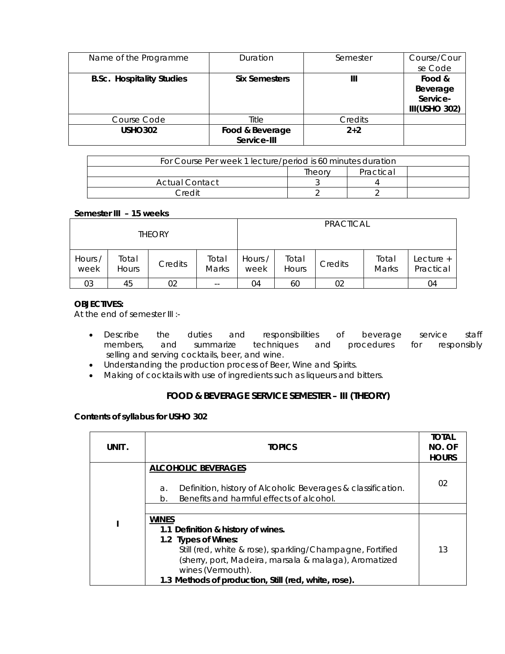| Name of the Programme            | Duration                       | Semester | Course/Cour<br>se Code                          |
|----------------------------------|--------------------------------|----------|-------------------------------------------------|
| <b>B.Sc. Hospitality Studies</b> | <b>Six Semesters</b>           | Ш        | Food &<br>Beverage<br>Service-<br>III(USHO 302) |
| Course Code                      | Title                          | Credits  |                                                 |
| <b>USHO302</b>                   | Food & Beverage<br>Service-III | $2 + 2$  |                                                 |

| For Course Per week 1 lecture/period is 60 minutes duration |        |           |  |  |
|-------------------------------------------------------------|--------|-----------|--|--|
|                                                             | Theorv | Practical |  |  |
| Actual Contact                                              |        |           |  |  |
| Credit                                                      |        |           |  |  |

# **Semester III – 15 weeks**

| <b>THEORY</b>   |                       |         |                          |                 |                | <b>PRACTICAL</b> |                |                        |
|-----------------|-----------------------|---------|--------------------------|-----------------|----------------|------------------|----------------|------------------------|
| Hours /<br>week | Total<br><b>Hours</b> | Credits | Total<br><b>Marks</b>    | Hours /<br>week | Total<br>Hours | Credits          | Total<br>Marks | Lecture +<br>Practical |
| 03              | 45                    | 02      | $\overline{\phantom{m}}$ | 04              | 60             | 02               |                | 04                     |

# **OBJECTIVES:**

At the end of semester III :-

- Describe the duties and responsibilities of beverage service staff members, and summarize techniques and procedures for responsibly selling and serving cocktails, beer, and wine.
- Understanding the production process of Beer, Wine and Spirits.
- Making of cocktails with use of ingredients such as liqueurs and bitters.

# **FOOD & BEVERAGE SERVICE SEMESTER – III (THEORY)**

# **Contents of syllabus for USHO 302**

| UNIT . | <b>TOPICS</b>                                                                                                                                                                                                                                                                | <b>TOTAL</b><br>NO. OF<br><b>HOURS</b> |
|--------|------------------------------------------------------------------------------------------------------------------------------------------------------------------------------------------------------------------------------------------------------------------------------|----------------------------------------|
|        | <b>ALCOHOLIC BEVERAGES</b><br>Definition, history of Alcoholic Beverages & classification.<br>a.<br>Benefits and harmful effects of alcohol.<br>h                                                                                                                            | 02                                     |
|        |                                                                                                                                                                                                                                                                              |                                        |
|        | <b>WINES</b><br>1.1 Definition & history of wines.<br>1.2 Types of Wines:<br>Still (red, white & rose), sparkling/Champagne, Fortified<br>(sherry, port, Madeira, marsala & malaga), Aromatized<br>wines (Vermouth).<br>1.3 Methods of production, Still (red, white, rose). | 13                                     |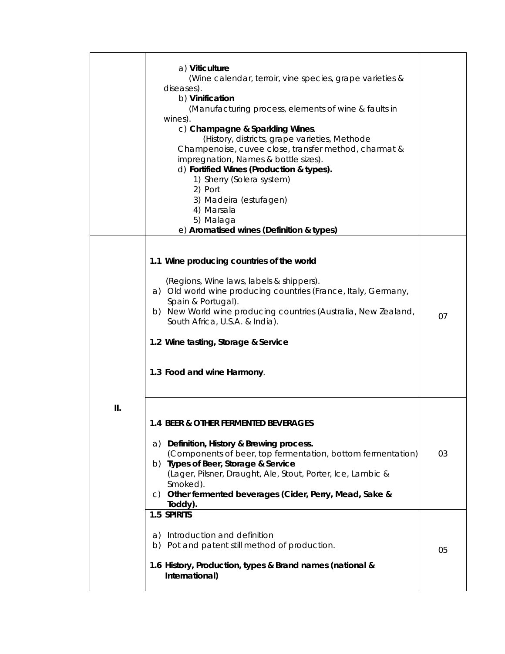|    | a) Viticulture<br>(Wine calendar, terroir, vine species, grape varieties &<br>diseases).<br>b) Vinification<br>(Manufacturing process, elements of wine & faults in<br>wines).<br>c) Champagne & Sparkling Wines.<br>(History, districts, grape varieties, Methode<br>Champenoise, cuvee close, transfer method, charmat &<br>impregnation, Names & bottle sizes).<br>d) Fortified Wines (Production & types).<br>1) Sherry (Solera system)<br>2) Port<br>3) Madeira (estufagen)<br>4) Marsala<br>5) Malaga<br>e) Aromatised wines (Definition & types) |    |
|----|---------------------------------------------------------------------------------------------------------------------------------------------------------------------------------------------------------------------------------------------------------------------------------------------------------------------------------------------------------------------------------------------------------------------------------------------------------------------------------------------------------------------------------------------------------|----|
|    | 1.1 Wine producing countries of the world<br>(Regions, Wine laws, labels & shippers).<br>a) Old world wine producing countries (France, Italy, Germany,<br>Spain & Portugal).<br>b) New World wine producing countries (Australia, New Zealand,<br>South Africa, U.S.A. & India).<br>1.2 Wine tasting, Storage & Service<br>1.3 Food and wine Harmony.                                                                                                                                                                                                  | 07 |
| Ш. | 1.4 BEER & OTHER FERMENTED BEVERAGES<br>a) Definition, History & Brewing process.<br>(Components of beer, top fermentation, bottom fermentation)<br>b) Types of Beer, Storage & Service<br>(Lager, Pilsner, Draught, Ale, Stout, Porter, Ice, Lambic &<br>Smoked).<br>c) Other fermented beverages (Cider, Perry, Mead, Sake &<br>Toddy).                                                                                                                                                                                                               | 03 |
|    | 1.5 SPIRITS<br>a) Introduction and definition<br>b) Pot and patent still method of production.<br>1.6 History, Production, types & Brand names (national &<br>International)                                                                                                                                                                                                                                                                                                                                                                            | 05 |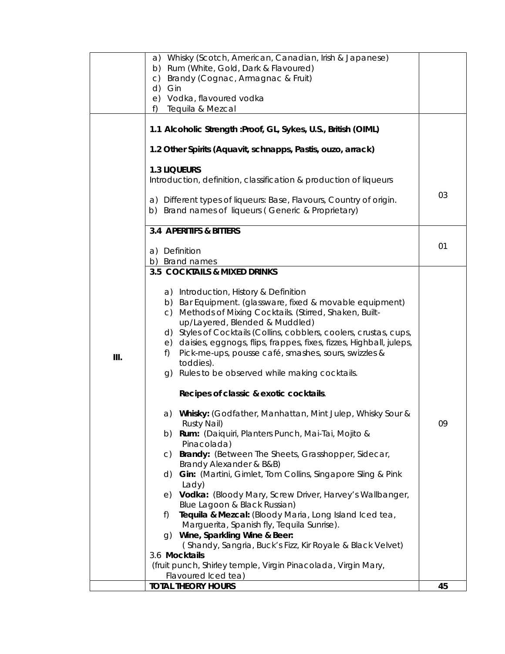|      | a) Whisky (Scotch, American, Canadian, Irish & Japanese)                                                                 |    |
|------|--------------------------------------------------------------------------------------------------------------------------|----|
|      | b) Rum (White, Gold, Dark & Flavoured)                                                                                   |    |
|      | c) Brandy (Cognac, Armagnac & Fruit)                                                                                     |    |
|      | d) Gin                                                                                                                   |    |
|      | e) Vodka, flavoured vodka                                                                                                |    |
|      | Tequila & Mezcal<br>f)                                                                                                   |    |
|      | 1.1 Alcoholic Strength : Proof, GL, Sykes, U.S., British (OIML)                                                          |    |
|      | 1.2 Other Spirits (Aquavit, schnapps, Pastis, ouzo, arrack)                                                              |    |
|      | <b>1.3 LIQUEURS</b>                                                                                                      |    |
|      | Introduction, definition, classification & production of liqueurs                                                        |    |
|      |                                                                                                                          |    |
|      | a) Different types of liqueurs: Base, Flavours, Country of origin.<br>b) Brand names of liqueurs (Generic & Proprietary) | 03 |
|      | <b>3.4 APERITIFS &amp; BITTERS</b>                                                                                       |    |
|      |                                                                                                                          |    |
|      | a) Definition                                                                                                            | 01 |
|      | b) Brand names                                                                                                           |    |
|      | 3.5 COCKTAILS & MIXED DRINKS                                                                                             |    |
|      |                                                                                                                          |    |
|      | a) Introduction, History & Definition<br>b) Bar Equipment. (glassware, fixed & movable equipment)                        |    |
|      | c) Methods of Mixing Cocktails. (Stirred, Shaken, Built-                                                                 |    |
|      | up/Layered, Blended & Muddled)                                                                                           |    |
|      | d) Styles of Cocktails (Collins, cobblers, coolers, crustas, cups,                                                       |    |
|      | e) daisies, eggnogs, flips, frappes, fixes, fizzes, Highball, juleps,                                                    |    |
| III. | Pick-me-ups, pousse café, smashes, sours, swizzles &<br>f)                                                               |    |
|      | toddies).                                                                                                                |    |
|      | g) Rules to be observed while making cocktails.                                                                          |    |
|      | Recipes of classic & exotic cocktails.                                                                                   |    |
|      | a) Whisky: (Godfather, Manhattan, Mint Julep, Whisky Sour &<br>Rusty Nail)                                               | 09 |
|      | b) Rum: (Daiquiri, Planters Punch, Mai-Tai, Mojito &                                                                     |    |
|      | Pinacolada)<br>Brandy: (Between The Sheets, Grasshopper, Sidecar,<br>C)                                                  |    |
|      | Brandy Alexander & B&B)                                                                                                  |    |
|      | Gin: (Martini, Gimlet, Tom Collins, Singapore Sling & Pink<br>d)                                                         |    |
|      | Lady)                                                                                                                    |    |
|      | Vodka: (Bloody Mary, Screw Driver, Harvey's Wallbanger,<br>e)                                                            |    |
|      | Blue Lagoon & Black Russian)                                                                                             |    |
|      | Tequila & Mezcal: (Bloody Maria, Long Island Iced tea,<br>f)                                                             |    |
|      | Marguerita, Spanish fly, Tequila Sunrise).                                                                               |    |
|      | Wine, Sparkling Wine & Beer:<br>G)                                                                                       |    |
|      | (Shandy, Sangria, Buck's Fizz, Kir Royale & Black Velvet)<br>3.6 Mocktails                                               |    |
|      | (fruit punch, Shirley temple, Virgin Pinacolada, Virgin Mary,                                                            |    |
|      | Flavoured Iced tea)                                                                                                      |    |
|      | <b>TOTAL THEORY HOURS</b>                                                                                                | 45 |
|      |                                                                                                                          |    |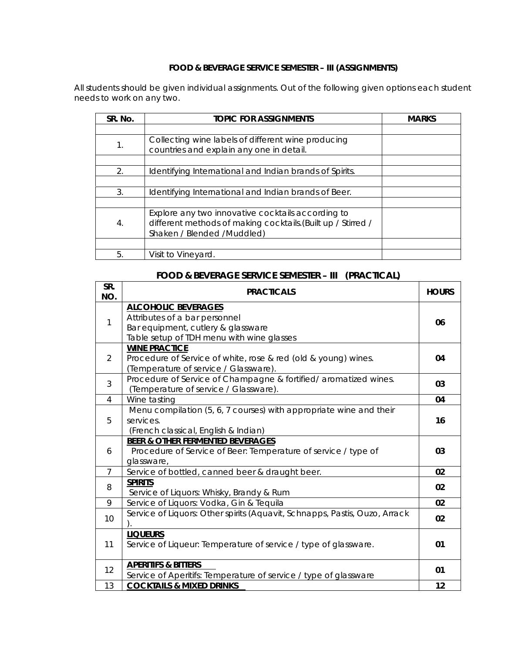# **FOOD & BEVERAGE SERVICE SEMESTER – III (ASSIGNMENTS)**

All students should be given individual assignments. Out of the following given options each student needs to work on any two.

| SR. No.          | <b>TOPIC FOR ASSIGNMENTS</b>                                                                                                                     | <b>MARKS</b> |
|------------------|--------------------------------------------------------------------------------------------------------------------------------------------------|--------------|
|                  |                                                                                                                                                  |              |
| 1.               | Collecting wine labels of different wine producing<br>countries and explain any one in detail.                                                   |              |
|                  |                                                                                                                                                  |              |
| 2.               | Identifying International and Indian brands of Spirits.                                                                                          |              |
|                  |                                                                                                                                                  |              |
| 3.               | Identifying International and Indian brands of Beer.                                                                                             |              |
|                  |                                                                                                                                                  |              |
| $\overline{4}$ . | Explore any two innovative cocktails according to<br>different methods of making cocktails. (Built up / Stirred /<br>Shaken / Blended / Muddled) |              |
|                  |                                                                                                                                                  |              |
| 5.               | Visit to Vineyard.                                                                                                                               |              |

# **FOOD & BEVERAGE SERVICE SEMESTER – III (PRACTICAL)**

| SR.<br>NO.     | <b>PRACTICALS</b>                                                                                                                              | <b>HOURS</b> |
|----------------|------------------------------------------------------------------------------------------------------------------------------------------------|--------------|
| 1              | <b>ALCOHOLIC BEVERAGES</b><br>Attributes of a bar personnel<br>Bar equipment, cutlery & glassware<br>Table setup of TDH menu with wine glasses | 06           |
| 2              | <b>WINE PRACTICE</b><br>Procedure of Service of white, rose & red (old & young) wines.<br>(Temperature of service / Glassware).                | 04           |
| 3              | Procedure of Service of Champagne & fortified/aromatized wines.<br>(Temperature of service / Glassware).                                       | 03           |
| 4              | Wine tasting                                                                                                                                   | 04           |
| 5              | Menu compilation (5, 6, 7 courses) with appropriate wine and their<br>services.<br>(French classical, English & Indian)                        | 16           |
| 6              | <b>BEER &amp; OTHER FERMENTED BEVERAGES</b><br>Procedure of Service of Beer: Temperature of service / type of<br>glassware,                    | 03           |
| $\overline{7}$ | Service of bottled, canned beer & draught beer.                                                                                                | 02           |
| 8              | <b>SPIRITS</b><br>Service of Liquors: Whisky, Brandy & Rum                                                                                     | 02           |
| 9              | Service of Liquors: Vodka, Gin & Tequila                                                                                                       | 02           |
| 10             | Service of Liquors: Other spirits (Aquavit, Schnapps, Pastis, Ouzo, Arrack                                                                     | 02           |
| 11             | <b>LIQUEURS</b><br>Service of Liqueur: Temperature of service / type of glassware.                                                             | 01           |
| 12             | <b>APERITIFS &amp; BITTERS</b><br>Service of Aperitifs: Temperature of service / type of glassware                                             | 01           |
| 13             | <b>COCKTAILS &amp; MIXED DRINKS</b>                                                                                                            | 12           |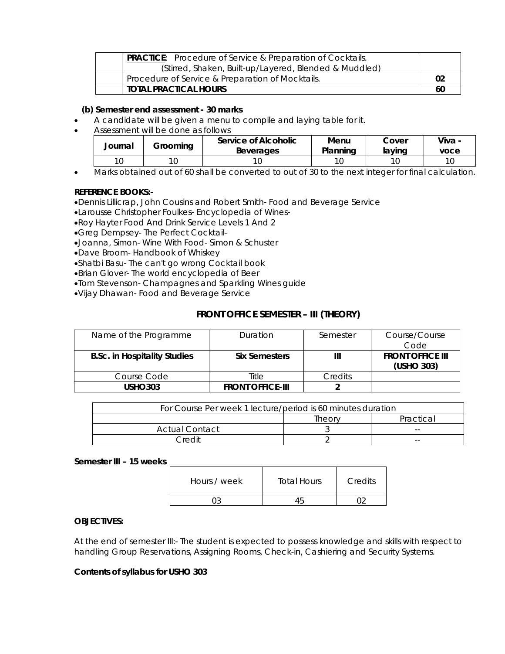| <b>PRACTICE:</b> Procedure of Service & Preparation of Cocktails. |    |
|-------------------------------------------------------------------|----|
| (Stirred, Shaken, Built-up/Layered, Blended & Muddled)            |    |
| Procedure of Service & Preparation of Mocktails.                  | 02 |
| TOTAL PRACTICAL HOURS                                             | 60 |

# **(b) Semester end assessment - 30 marks**

- A candidate will be given a menu to compile and laying table for it.
- Assessment will be done as follows

| Journal | Groomina | Service of Alcoholic<br><b>Beverages</b> | Menu<br>Planning | Cover<br>lavino | Viva -<br>voce |
|---------|----------|------------------------------------------|------------------|-----------------|----------------|
| 10      |          |                                          |                  |                 | 10             |
|         |          |                                          |                  |                 |                |

• Marks obtained out of 60 shall be converted to out of 30 to the next integer for final calculation.

#### **REFERENCE BOOKS:-**

•Dennis Lillicrap, John Cousins and Robert Smith- Food and Beverage Service

•Larousse Christopher Foulkes- Encyclopedia of Wines-

- •Roy Hayter Food And Drink Service Levels 1 And 2
- •Greg Dempsey- The Perfect Cocktail-
- •Joanna, Simon- Wine With Food- Simon & Schuster
- •Dave Broom- Handbook of Whiskey
- •Shatbi Basu- The can't go wrong Cocktail book
- •Brian Glover- The world encyclopedia of Beer
- •Tom Stevenson- Champagnes and Sparkling Wines guide
- •Vijay Dhawan- Food and Beverage Service

# **FRONT OFFICE SEMESTER – III (THEORY)**

| Name of the Programme               | Duration                | Semester | Course/Course           |
|-------------------------------------|-------------------------|----------|-------------------------|
|                                     |                         |          | Code                    |
| <b>B.Sc. in Hospitality Studies</b> | <b>Six Semesters</b>    |          | <b>FRONT OFFICE III</b> |
|                                     |                         |          | (USHO 303)              |
| Course Code                         | Title                   | Credits  |                         |
| <b>USHO303</b>                      | <b>FRONT OFFICE-III</b> |          |                         |

| For Course Per week 1 lecture/period is 60 minutes duration |        |           |
|-------------------------------------------------------------|--------|-----------|
|                                                             | Theory | Practical |
| Actual Contact                                              |        | $- -$     |
| Credit                                                      |        | $ -$      |

#### **Semester III – 15 weeks**

| Hours / week | <b>Total Hours</b> | Credits |
|--------------|--------------------|---------|
|              |                    |         |

#### **OBJECTIVES:**

At the end of semester III:- The student is expected to possess knowledge and skills with respect to handling Group Reservations, Assigning Rooms, Check-in, Cashiering and Security Systems.

#### **Contents of syllabus for USHO 303**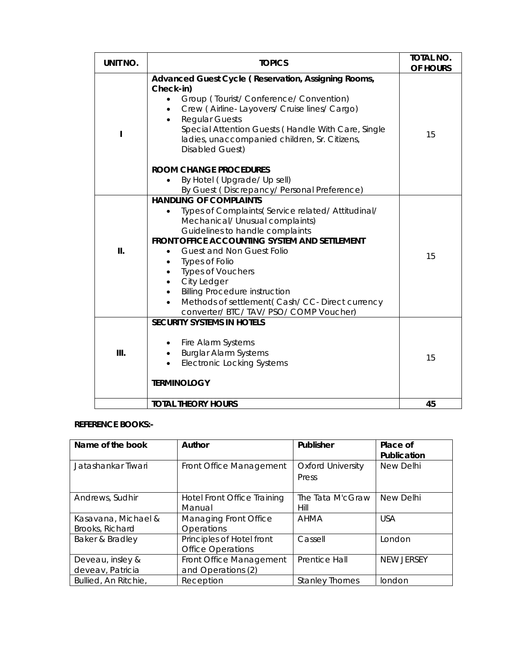| UNIT NO. | <b>TOPICS</b>                                                                                                                                                                                                                                                                                                                                                                                                                                                                   | <b>TOTAL NO.</b><br>OF HOURS |
|----------|---------------------------------------------------------------------------------------------------------------------------------------------------------------------------------------------------------------------------------------------------------------------------------------------------------------------------------------------------------------------------------------------------------------------------------------------------------------------------------|------------------------------|
| ı        | Advanced Guest Cycle (Reservation, Assigning Rooms,<br>Check-in)<br>Group (Tourist/Conference/Convention)<br>Crew (Airline-Layovers/ Cruise lines/ Cargo)<br><b>Regular Guests</b><br>Special Attention Guests (Handle With Care, Single<br>ladies, unaccompanied children, Sr. Citizens,<br>Disabled Guest)                                                                                                                                                                    | 15                           |
|          | <b>ROOM CHANGE PROCEDURES</b><br>By Hotel (Upgrade/Up sell)<br>By Guest (Discrepancy/Personal Preference)                                                                                                                                                                                                                                                                                                                                                                       |                              |
| Ш.       | <b>HANDLING OF COMPLAINTS</b><br>Types of Complaints(Service related/Attitudinal/<br>Mechanical/ Unusual complaints)<br>Guidelines to handle complaints<br>FRONT OFFICE ACCOUNTING SYSTEM AND SETTLEMENT<br><b>Guest and Non Guest Folio</b><br>$\bullet$<br><b>Types of Folio</b><br>$\bullet$<br><b>Types of Vouchers</b><br>City Ledger<br><b>Billing Procedure instruction</b><br>Methods of settlement (Cash/CC-Direct currency<br>converter/ BTC/ TAV/ PSO/ COMP Voucher) | 15                           |
| III.     | <b>SECURITY SYSTEMS IN HOTELS</b><br>Fire Alarm Systems<br><b>Burglar Alarm Systems</b><br>$\bullet$<br><b>Electronic Locking Systems</b><br><b>TERMINOLOGY</b>                                                                                                                                                                                                                                                                                                                 | 15                           |
|          | <b>TOTAL THEORY HOURS</b>                                                                                                                                                                                                                                                                                                                                                                                                                                                       | 45                           |

# **REFERENCE BOOKS:-**

| Name of the book                       | Author                                                | Publisher                         | Place of<br>Publication |
|----------------------------------------|-------------------------------------------------------|-----------------------------------|-------------------------|
| Jatashankar Tiwari                     | Front Office Management                               | <b>Oxford University</b><br>Press | New Delhi               |
| Andrews, Sudhir                        | Hotel Front Office Training<br>Manual                 | The Tata M'cGraw<br>Hill          | New Delhi               |
| Kasavana, Michael &<br>Brooks, Richard | Managing Front Office<br>Operations                   | <b>AHMA</b>                       | <b>USA</b>              |
| Baker & Bradley                        | Principles of Hotel front<br><b>Office Operations</b> | Cassell                           | London                  |
| Deveau, insley &<br>deveav, Patricia   | Front Office Management<br>and Operations (2)         | Prentice Hall                     | <b>NEW JERSEY</b>       |
| Bullied, An Ritchie,                   | Reception                                             | <b>Stanley Thornes</b>            | london                  |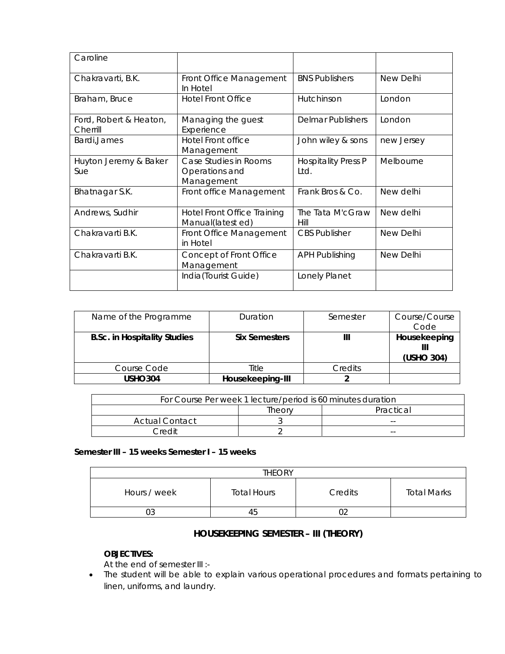| Caroline                           |                                                         |                                    |            |
|------------------------------------|---------------------------------------------------------|------------------------------------|------------|
| Chakravarti, B.K.                  | Front Office Management<br>In Hotel                     | <b>BNS Publishers</b>              | New Delhi  |
| Braham, Bruce                      | <b>Hotel Front Office</b>                               | Hutchinson                         | London     |
| Ford, Robert & Heaton,<br>Cherrill | Managing the guest<br>Experience                        | Delmar Publishers                  | London     |
| Bardi, James                       | <b>Hotel Front office</b><br>Management                 | John wiley & sons                  | new Jersey |
| Huyton Jeremy & Baker<br>Sue       | Case Studies in Rooms<br>Operations and<br>Management   | <b>Hospitality Press P</b><br>Ltd. | Melbourne  |
| Bhatnagar S.K.                     | Front office Management                                 | Frank Bros & Co.                   | New delhi  |
| Andrews, Sudhir                    | <b>Hotel Front Office Training</b><br>Manual(latest ed) | The Tata M'cGraw<br>Hill           | New delhi  |
| Chakravarti B.K.                   | Front Office Management<br>in Hotel                     | <b>CBS Publisher</b>               | New Delhi  |
| Chakravarti B.K.                   | Concept of Front Office<br>Management                   | <b>APH Publishing</b>              | New Delhi  |
|                                    | India(Tourist Guide)                                    | Lonely Planet                      |            |

| Name of the Programme               | Duration             | Semester | Course/Course<br>Code      |
|-------------------------------------|----------------------|----------|----------------------------|
| <b>B.Sc. in Hospitality Studies</b> | <b>Six Semesters</b> |          | Housekeeping<br>(USHO 304) |
| Course Code                         | Title                | Credits  |                            |
| <b>USHO304</b>                      | Housekeeping-III     |          |                            |

| For Course Per week 1 lecture/period is 60 minutes duration |  |       |  |  |
|-------------------------------------------------------------|--|-------|--|--|
| Practical<br>Theory                                         |  |       |  |  |
| Actual Contact                                              |  | $- -$ |  |  |
| ∩rAdit<br>$- -$                                             |  |       |  |  |

# **Semester III – 15 weeks Semester I – 15 weeks**

| <b>THEORY</b> |                    |         |                    |
|---------------|--------------------|---------|--------------------|
| Hours / week  | <b>Total Hours</b> | Credits | <b>Total Marks</b> |
| 03            | 45                 | ∩∩      |                    |

# **HOUSEKEEPING SEMESTER – III (THEORY)**

# **OBJECTIVES:**

At the end of semester III :-

• The student will be able to explain various operational procedures and formats pertaining to linen, uniforms, and laundry.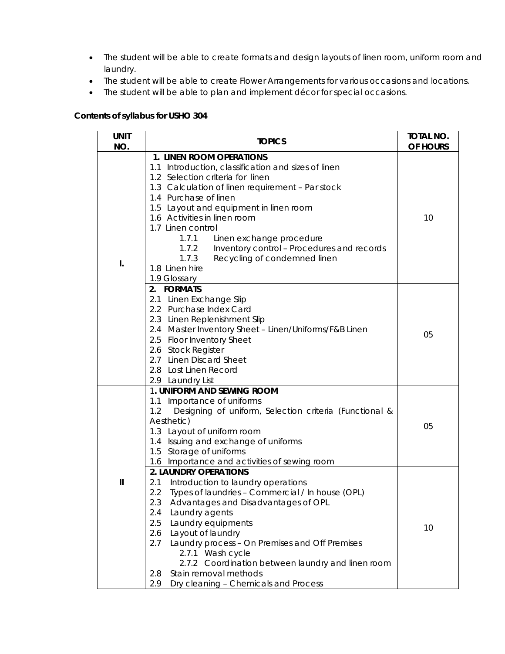- The student will be able to create formats and design layouts of linen room, uniform room and laundry.
- The student will be able to create Flower Arrangements for various occasions and locations.
- The student will be able to plan and implement décor for special occasions.

# **Contents of syllabus for USHO 304**

| <b>UNIT</b><br>NO. | <b>TOPICS</b>                                                                                                                                                                                                                                                                                                                                                                                                                                                                         | <b>TOTAL NO.</b><br>OF HOURS |
|--------------------|---------------------------------------------------------------------------------------------------------------------------------------------------------------------------------------------------------------------------------------------------------------------------------------------------------------------------------------------------------------------------------------------------------------------------------------------------------------------------------------|------------------------------|
|                    | 1. LINEN ROOM OPERATIONS                                                                                                                                                                                                                                                                                                                                                                                                                                                              |                              |
| I.                 | 1.1 Introduction, classification and sizes of linen<br>1.2 Selection criteria for linen<br>1.3 Calculation of linen requirement - Par stock<br>1.4 Purchase of linen<br>1.5 Layout and equipment in linen room<br>1.6 Activities in linen room<br>1.7 Linen control<br>1.7.1<br>Linen exchange procedure<br>Inventory control - Procedures and records<br>1.7.2<br>1.7.3<br>Recycling of condemned linen<br>1.8 Linen hire<br>1.9 Glossary                                            | 10                           |
|                    | 2. FORMATS<br>2.1 Linen Exchange Slip<br>2.2 Purchase Index Card<br>2.3 Linen Replenishment Slip<br>2.4 Master Inventory Sheet - Linen/Uniforms/F&B Linen<br>2.5 Floor Inventory Sheet<br>2.6 Stock Register<br>2.7 Linen Discard Sheet<br>2.8 Lost Linen Record<br>2.9 Laundry List                                                                                                                                                                                                  | 05                           |
|                    | 1. UNIFORM AND SEWING ROOM<br>1.1 Importance of uniforms<br>1.2<br>Designing of uniform, Selection criteria (Functional &<br>Aesthetic)<br>1.3 Layout of uniform room<br>1.4 Issuing and exchange of uniforms<br>1.5 Storage of uniforms<br>1.6 Importance and activities of sewing room                                                                                                                                                                                              | 05                           |
| Ш                  | <b>2. LAUNDRY OPERATIONS</b><br>Introduction to laundry operations<br>2.1<br>2.2<br>Types of laundries - Commercial / In house (OPL)<br>2.3<br>Advantages and Disadvantages of OPL<br>2.4<br>Laundry agents<br>2.5<br>Laundry equipments<br>Layout of laundry<br>2.6<br>Laundry process - On Premises and Off Premises<br>2.7<br>2.7.1 Wash cycle<br>2.7.2 Coordination between laundry and linen room<br>Stain removal methods<br>2.8<br>Dry cleaning - Chemicals and Process<br>2.9 | 10                           |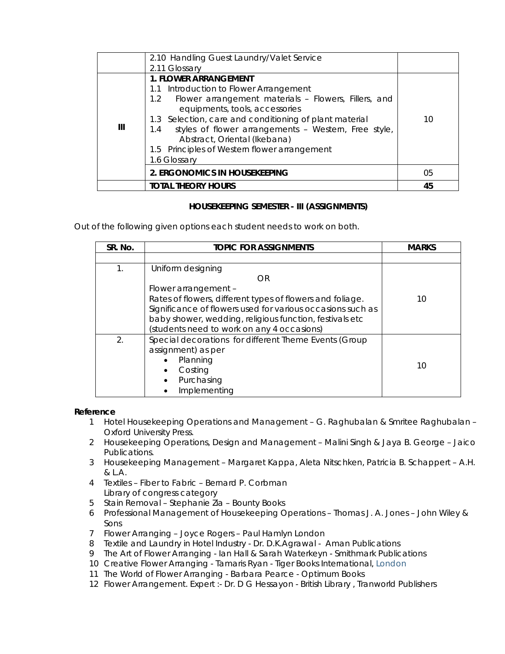|   | 2.10 Handling Guest Laundry/Valet Service                   |    |
|---|-------------------------------------------------------------|----|
|   | 2.11 Glossary                                               |    |
|   | <b>1. FLOWER ARRANGEMENT</b>                                |    |
|   | 1.1 Introduction to Flower Arrangement                      |    |
|   | Flower arrangement materials - Flowers, Fillers, and<br>1.2 |    |
|   | equipments, tools, accessories                              |    |
|   | 1.3 Selection, care and conditioning of plant material      | 10 |
| Ш | styles of flower arrangements - Western, Free style,<br>1.4 |    |
|   | Abstract, Oriental (Ikebana)                                |    |
|   | 1.5 Principles of Western flower arrangement                |    |
|   | 1.6 Glossary                                                |    |
|   | 2. ERGONOMICS IN HOUSEKEEPING                               | 05 |
|   | <b>TOTAL THEORY HOURS</b>                                   | 45 |

# **HOUSEKEEPING SEMESTER - III (ASSIGNMENTS)**

Out of the following given options each student needs to work on both.

| SR. No.        | <b>TOPIC FOR ASSIGNMENTS</b>                                                                                                                                                                                                          | <b>MARKS</b> |
|----------------|---------------------------------------------------------------------------------------------------------------------------------------------------------------------------------------------------------------------------------------|--------------|
|                |                                                                                                                                                                                                                                       |              |
| $\mathbf{1}$ . | Uniform designing<br>OR<br>Flower arrangement -<br>Rates of flowers, different types of flowers and foliage.<br>Significance of flowers used for various occasions such as<br>baby shower, wedding, religious function, festivals etc | 10           |
| 2.             | (students need to work on any 4 occasions)<br>Special decorations for different Theme Events (Group<br>assignment) as per<br>Planning<br>Costing<br>Purchasing<br>Implementing                                                        | 10           |

# **Reference**

- 1 Hotel Housekeeping Operations and Management G. Raghubalan & Smritee Raghubalan -Oxford University Press.
- 2 Housekeeping Operations, Design and Management Malini Singh & Jaya B. George Jaico Publications.
- 3 Housekeeping Management Margaret Kappa, Aleta Nitschken, Patricia B. Schappert A.H. & L.A.
- 4 Textiles Fiber to Fabric Bernard P. Corbman Library of congress category
- 5 Stain Removal Stephanie Zia Bounty Books
- 6 Professional Management of Housekeeping Operations Thomas J. A. Jones John Wiley & Sons
- 7 Flower Arranging Joyce Rogers Paul Hamlyn London
- 8 Textile and Laundry in Hotel Industry Dr. D.K.Agrawal Aman Publications
- 9 The Art of Flower Arranging Ian Hall & Sarah Waterkeyn Smithmark Publications
- 10 Creative Flower Arranging Tamaris Ryan Tiger Books International, London
- 11 The World of Flower Arranging Barbara Pearce Optimum Books
- 12 Flower Arrangement. Expert :- Dr. D G Hessayon British Library , Tranworld Publishers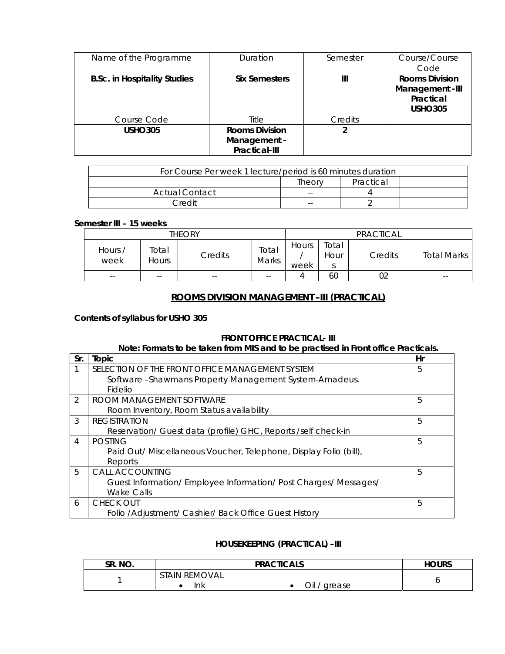| Name of the Programme               | Duration                                               | Semester | Course/Course<br>Code                                                   |
|-------------------------------------|--------------------------------------------------------|----------|-------------------------------------------------------------------------|
| <b>B.Sc. in Hospitality Studies</b> | <b>Six Semesters</b>                                   | Ш        | <b>Rooms Division</b><br>Management -III<br>Practical<br><b>USHO305</b> |
| Course Code                         | Title                                                  | Credits  |                                                                         |
| <b>USHO305</b>                      | <b>Rooms Division</b><br>Management -<br>Practical-III |          |                                                                         |

| For Course Per week 1 lecture/period is 60 minutes duration |       |  |  |  |  |
|-------------------------------------------------------------|-------|--|--|--|--|
| Practical<br>Theorv                                         |       |  |  |  |  |
| <b>Actual Contact</b>                                       | $ -$  |  |  |  |  |
| Credit                                                      | $- -$ |  |  |  |  |

# **Semester III – 15 weeks**

| <b>THEORY</b>          |                       |         |                |               | PRACTICAL          |         |                    |
|------------------------|-----------------------|---------|----------------|---------------|--------------------|---------|--------------------|
| Hours $\prime$<br>week | Total<br><b>Hours</b> | Credits | Total<br>Marks | Hours<br>week | Total<br>Hour<br>c | Credits | <b>Total Marks</b> |
| $- -$                  | $- -$                 | $- -$   | $- -$          | 4             | 60                 | 02      | $- -$              |

# **ROOMS DIVISION MANAGEMENT –III (PRACTICAL)**

# **Contents of syllabus for USHO 305**

# **FRONT OFFICE PRACTICAL- III**

# **Note: Formats to be taken from MIS and to be practised in Front office Practicals.**

| Sr.           | Topic                                                             | Hr |
|---------------|-------------------------------------------------------------------|----|
|               | SELECTION OF THE FRONT OFFICE MANAGEMENT SYSTEM                   | 5  |
|               | Software - Shawmans Property Management System-Amadeus.           |    |
|               | Fidelio                                                           |    |
| $\mathcal{P}$ | ROOM MANAGEMENT SOFTWARE                                          | 5  |
|               | Room Inventory, Room Status availability                          |    |
| 3             | <b>REGISTRATION</b>                                               | 5  |
|               | Reservation/ Guest data (profile) GHC, Reports /self check-in     |    |
| 4             | <b>POSTING</b>                                                    | 5  |
|               | Paid Out/ Miscellaneous Voucher, Telephone, Display Folio (bill), |    |
|               | Reports                                                           |    |
| 5             | <b>CALL ACCOUNTING</b>                                            | 5  |
|               | Guest Information/ Employee Information/ Post Charges/ Messages/  |    |
|               | <b>Wake Calls</b>                                                 |    |
| 6             | <b>CHECK OUT</b>                                                  | 5  |
|               | Folio / Adjustment/ Cashier/ Back Office Guest History            |    |

# **HOUSEKEEPING (PRACTICAL) –III**

| SR. NO. |                             | <b>HOURS</b>  |   |
|---------|-----------------------------|---------------|---|
|         | <b>STAIN REMOVAL</b><br>'nk | Oil<br>grease | ັ |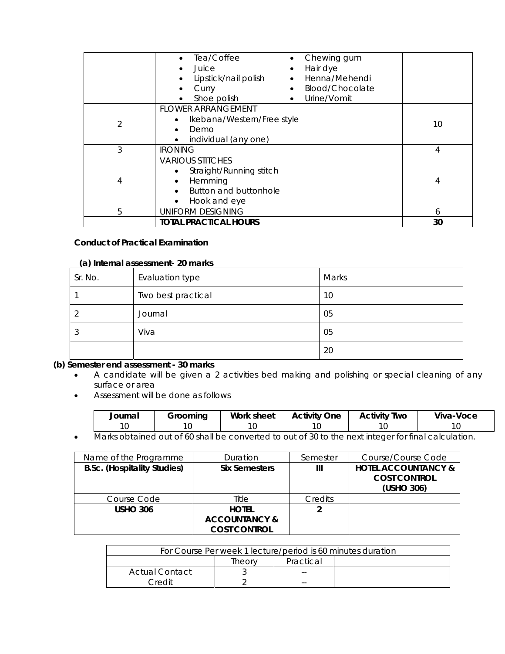|   | Tea/Coffee<br>Chewing gum<br>$\bullet$<br>Hair dye<br>Juice<br>$\bullet$<br>$\bullet$<br>Henna/Mehendi<br>Lipstick/nail polish<br>Blood/Chocolate<br>Curry<br>$\bullet$<br>Urine/Vomit<br>Shoe polish<br>$\bullet$<br>$\bullet$ |    |
|---|---------------------------------------------------------------------------------------------------------------------------------------------------------------------------------------------------------------------------------|----|
| 2 | <b>FLOWER ARRANGEMENT</b><br>Ikebana/Western/Free style<br>Demo<br>individual (any one)<br>$\bullet$                                                                                                                            | 10 |
| 3 | <b>IRONING</b>                                                                                                                                                                                                                  | 4  |
| 4 | <b>VARIOUS STITCHES</b><br>Straight/Running stitch<br>Hemming<br>Button and buttonhole<br>Hook and eye<br>$\bullet$                                                                                                             | 4  |
| 5 | <b>UNIFORM DESIGNING</b>                                                                                                                                                                                                        | 6  |
|   | <b>TOTAL PRACTICAL HOURS</b>                                                                                                                                                                                                    | 30 |

# **Conduct of Practical Examination**

#### **(a) Internal assessment- 20 marks**

| Sr. No. | Evaluation type    | Marks |
|---------|--------------------|-------|
|         | Two best practical | 10    |
|         | Journal            | 05    |
|         | Viva               | 05    |
|         |                    | 20    |

# **(b) Semester end assessment - 30 marks**

- A candidate will be given a 2 activities bed making and polishing or special cleaning of any surface or area
- Assessment will be done as follows

| Journal | Groomina                  | Work sheet | $\gamma$ ne<br>Activity     | Two<br><b>CHIVITY</b> | Viva-Voce |
|---------|---------------------------|------------|-----------------------------|-----------------------|-----------|
| $\sim$  |                           |            |                             |                       |           |
|         | $\cdots$<br>$\sim$ $\sim$ |            | $\sim$ $\sim$ $\sim$ $\sim$ |                       |           |

• Marks obtained out of 60 shall be converted to out of 30 to the next integer for final calculation.

| Name of the Programme              | Duration                                                        | Semester | Course/Course Code                                    |
|------------------------------------|-----------------------------------------------------------------|----------|-------------------------------------------------------|
| <b>B.Sc.</b> (Hospitality Studies) | <b>Six Semesters</b>                                            | Ш        | <b>HOTEL ACCOUNTANCY &amp;</b><br><b>COST CONTROL</b> |
|                                    |                                                                 |          | (USHO 306)                                            |
| Course Code                        | Title                                                           | Credits  |                                                       |
| <b>USHO 306</b>                    | <b>HOTEL</b><br><b>ACCOUNTANCY &amp;</b><br><b>COST CONTROL</b> |          |                                                       |

| For Course Per week 1 lecture/period is 60 minutes duration |  |    |  |  |  |
|-------------------------------------------------------------|--|----|--|--|--|
| Practical<br>Theorv                                         |  |    |  |  |  |
| Actual Contact                                              |  | -- |  |  |  |
| Credit                                                      |  |    |  |  |  |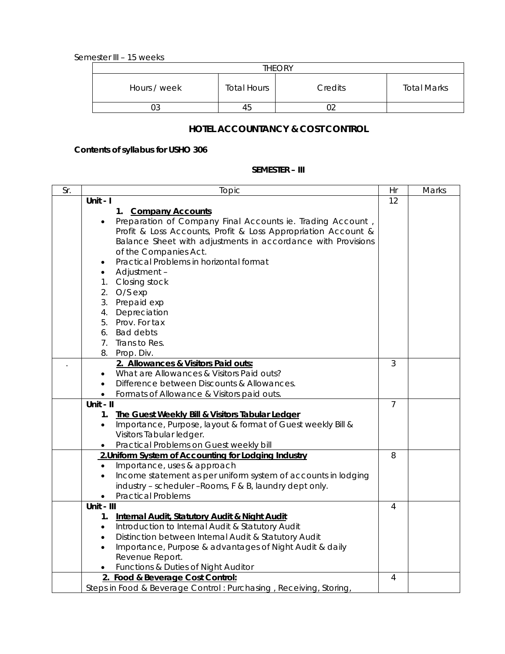Semester III – 15 weeks

| <b>THEORY</b> |                    |         |                    |  |  |  |
|---------------|--------------------|---------|--------------------|--|--|--|
| Hours / week  | <b>Total Hours</b> | Credits | <b>Total Marks</b> |  |  |  |
|               | 45                 |         |                    |  |  |  |

# **HOTEL ACCOUNTANCY & COST CONTROL**

# **Contents of syllabus for USHO 306**

# **SEMESTER – III**

| Sr. | Topic                                                                      | Hr             | Marks |
|-----|----------------------------------------------------------------------------|----------------|-------|
|     | Unit - I                                                                   | 12             |       |
|     | 1. Company Accounts                                                        |                |       |
|     | Preparation of Company Final Accounts ie. Trading Account,                 |                |       |
|     | Profit & Loss Accounts, Profit & Loss Appropriation Account &              |                |       |
|     | Balance Sheet with adjustments in accordance with Provisions               |                |       |
|     | of the Companies Act.                                                      |                |       |
|     | Practical Problems in horizontal format<br>$\bullet$                       |                |       |
|     | Adjustment-<br>$\bullet$                                                   |                |       |
|     | 1. Closing stock                                                           |                |       |
|     | 2.<br>$O/S$ exp                                                            |                |       |
|     | 3.<br>Prepaid exp                                                          |                |       |
|     | Depreciation<br>4.                                                         |                |       |
|     | Prov. For tax<br>5.                                                        |                |       |
|     | <b>Bad debts</b><br>6.                                                     |                |       |
|     | Trans to Res.<br>7.                                                        |                |       |
|     | 8.<br>Prop. Div.                                                           |                |       |
|     | 2. Allowances & Visitors Paid outs:                                        | 3              |       |
|     | What are Allowances & Visitors Paid outs?                                  |                |       |
|     | Difference between Discounts & Allowances.<br>$\bullet$                    |                |       |
|     | Formats of Allowance & Visitors paid outs.<br>$\bullet$                    |                |       |
|     | Unit - II                                                                  | $\overline{7}$ |       |
|     | The Guest Weekly Bill & Visitors Tabular Ledger<br>1.                      |                |       |
|     | Importance, Purpose, layout & format of Guest weekly Bill &<br>$\bullet$   |                |       |
|     | Visitors Tabular ledger.                                                   |                |       |
|     | Practical Problems on Guest weekly bill                                    |                |       |
|     | 2. Uniform System of Accounting for Lodging Industry                       | 8              |       |
|     | Importance, uses & approach<br>$\bullet$                                   |                |       |
|     | Income statement as per uniform system of accounts in lodging<br>$\bullet$ |                |       |
|     | industry - scheduler - Rooms, F & B, laundry dept only.                    |                |       |
|     | <b>Practical Problems</b>                                                  |                |       |
|     | Unit - III                                                                 | 4              |       |
|     | 1. Internal Audit, Statutory Audit & Night Audit                           |                |       |
|     | Introduction to Internal Audit & Statutory Audit<br>$\bullet$              |                |       |
|     | Distinction between Internal Audit & Statutory Audit<br>$\bullet$          |                |       |
|     | Importance, Purpose & advantages of Night Audit & daily<br>$\bullet$       |                |       |
|     | Revenue Report.                                                            |                |       |
|     | Functions & Duties of Night Auditor                                        |                |       |
|     | 2. Food & Beverage Cost Control:                                           | $\overline{4}$ |       |
|     | Steps in Food & Beverage Control: Purchasing, Receiving, Storing,          |                |       |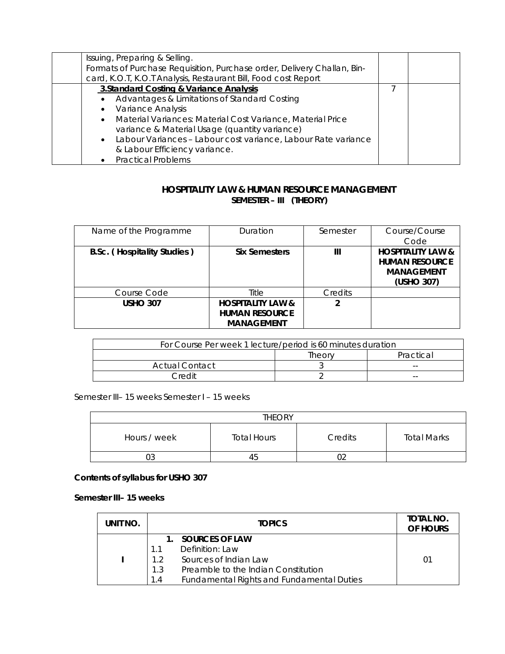| Issuing, Preparing & Selling.                                           |  |
|-------------------------------------------------------------------------|--|
| Formats of Purchase Requisition, Purchase order, Delivery Challan, Bin- |  |
| card, K.O.T, K.O.T Analysis, Restaurant Bill, Food cost Report          |  |
| 3. Standard Costing & Variance Analysis                                 |  |
| Advantages & Limitations of Standard Costing<br>$\bullet$               |  |
| Variance Analysis<br>$\bullet$                                          |  |
| • Material Variances: Material Cost Variance, Material Price            |  |
| variance & Material Usage (quantity variance)                           |  |
| • Labour Variances - Labour cost variance, Labour Rate variance         |  |
| & Labour Efficiency variance.                                           |  |
| • Practical Problems                                                    |  |

# **HOSPITALITY LAW & HUMAN RESOURCE MANAGEMENT SEMESTER – III (THEORY)**

| Name of the Programme              | Duration                                                                   | Semester | Course/Course<br>Code                                                                    |
|------------------------------------|----------------------------------------------------------------------------|----------|------------------------------------------------------------------------------------------|
| <b>B.Sc.</b> (Hospitality Studies) | <b>Six Semesters</b>                                                       | Ш        | <b>HOSPITALITY LAW &amp;</b><br><b>HUMAN RESOURCE</b><br><b>MANAGEMENT</b><br>(USHO 307) |
| Course Code                        | Title                                                                      | Credits  |                                                                                          |
| <b>USHO 307</b>                    | <b>HOSPITALITY LAW &amp;</b><br><b>HUMAN RESOURCE</b><br><b>MANAGEMENT</b> | 2        |                                                                                          |

| For Course Per week 1 lecture/period is 60 minutes duration |        |           |  |  |
|-------------------------------------------------------------|--------|-----------|--|--|
|                                                             | Theorv | Practical |  |  |
| Actual Contact                                              |        | $- -$     |  |  |
| Credit                                                      |        | $- -$     |  |  |

Semester III– 15 weeks Semester I – 15 weeks

| <b>THEORY</b> |                    |         |                    |  |
|---------------|--------------------|---------|--------------------|--|
| Hours / week  | <b>Total Hours</b> | Credits | <b>Total Marks</b> |  |
| U3            | 45                 |         |                    |  |

**Contents of syllabus for USHO 307** 

**Semester III– 15 weeks** 

| UNIT NO. | <b>TOPICS</b>                                                                                                                                                                      | TOTAL NO.<br>OF HOURS |
|----------|------------------------------------------------------------------------------------------------------------------------------------------------------------------------------------|-----------------------|
|          | 1. SOURCES OF LAW<br>Definition: Law<br>11<br>Sources of Indian Law<br>12<br>Preamble to the Indian Constitution<br>1.3<br><b>Fundamental Rights and Fundamental Duties</b><br>1.4 | 01                    |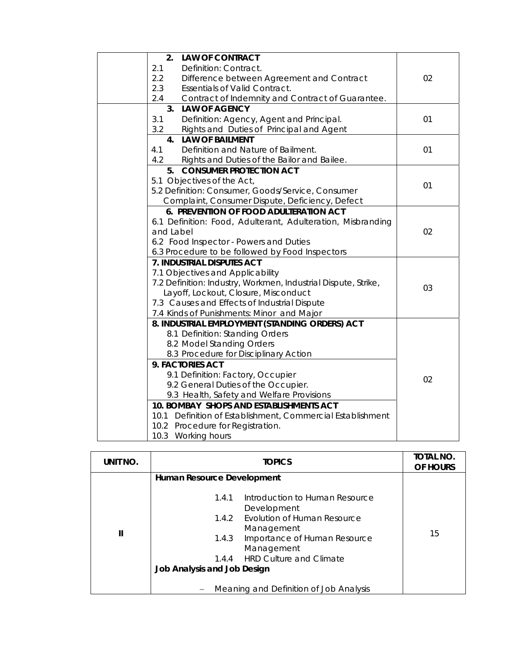| 2.<br><b>LAW OF CONTRACT</b>                                   |    |
|----------------------------------------------------------------|----|
| 2.1<br>Definition: Contract.                                   |    |
| 2.2<br>Difference between Agreement and Contract               | 02 |
| 2.3<br><b>Essentials of Valid Contract.</b>                    |    |
| 2.4<br>Contract of Indemnity and Contract of Guarantee.        |    |
| <b>LAW OF AGENCY</b><br>3.                                     |    |
| 3.1<br>Definition: Agency, Agent and Principal.                | 01 |
| 3.2<br>Rights and Duties of Principal and Agent                |    |
| 4. LAW OF BAILMENT                                             |    |
| Definition and Nature of Bailment.<br>4.1                      | 01 |
| 4.2<br>Rights and Duties of the Bailor and Bailee.             |    |
| 5. CONSUMER PROTECTION ACT                                     |    |
| 5.1 Objectives of the Act,                                     | 01 |
| 5.2 Definition: Consumer, Goods/Service, Consumer              |    |
| Complaint, Consumer Dispute, Deficiency, Defect                |    |
| 6. PREVENTION OF FOOD ADULTERATION ACT                         |    |
| 6.1 Definition: Food, Adulterant, Adulteration, Misbranding    |    |
| and Label                                                      | 02 |
| 6.2 Food Inspector - Powers and Duties                         |    |
| 6.3 Procedure to be followed by Food Inspectors                |    |
| 7. INDUSTRIAL DISPUTES ACT                                     |    |
| 7.1 Objectives and Applicability                               |    |
| 7.2 Definition: Industry, Workmen, Industrial Dispute, Strike, | 03 |
| Layoff, Lockout, Closure, Misconduct                           |    |
| 7.3 Causes and Effects of Industrial Dispute                   |    |
| 7.4 Kinds of Punishments: Minor and Major                      |    |
| 8. INDUSTRIAL EMPLOYMENT (STANDING ORDERS) ACT                 |    |
| 8.1 Definition: Standing Orders                                |    |
| 8.2 Model Standing Orders                                      |    |
| 8.3 Procedure for Disciplinary Action                          |    |
| 9. FACTORIES ACT                                               |    |
| 9.1 Definition: Factory, Occupier                              | 02 |
| 9.2 General Duties of the Occupier.                            |    |
| 9.3 Health, Safety and Welfare Provisions                      |    |
| 10. BOMBAY SHOPS AND ESTABLISHMENTS ACT                        |    |
| 10.1 Definition of Establishment, Commercial Establishment     |    |
| 10.2 Procedure for Registration.                               |    |
| 10.3 Working hours                                             |    |

| UNIT NO.     | <b>TOPICS</b>                                                                                                                                                                                                                                                           | TOTAL NO.<br>OF HOURS |
|--------------|-------------------------------------------------------------------------------------------------------------------------------------------------------------------------------------------------------------------------------------------------------------------------|-----------------------|
|              | Human Resource Development                                                                                                                                                                                                                                              |                       |
| $\mathbf{I}$ | Introduction to Human Resource<br>1.4.1<br>Development<br>1.4.2 Evolution of Human Resource<br>Management<br>1.4.3 Importance of Human Resource<br>Management<br>1.4.4 HRD Culture and Climate<br>Job Analysis and Job Design<br>Meaning and Definition of Job Analysis | 15                    |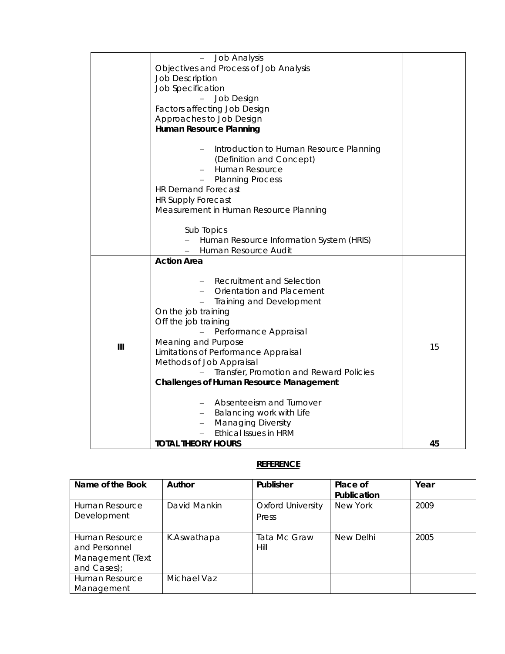|     | <b>Job Analysis</b>                            |    |
|-----|------------------------------------------------|----|
|     | Objectives and Process of Job Analysis         |    |
|     | <b>Job Description</b>                         |    |
|     |                                                |    |
|     | Job Specification                              |    |
|     | Job Design                                     |    |
|     | Factors affecting Job Design                   |    |
|     | Approaches to Job Design                       |    |
|     | Human Resource Planning                        |    |
|     |                                                |    |
|     | Introduction to Human Resource Planning<br>$-$ |    |
|     | (Definition and Concept)                       |    |
|     | Human Resource                                 |    |
|     | $\overline{\phantom{0}}$                       |    |
|     | <b>Planning Process</b>                        |    |
|     | <b>HR Demand Forecast</b>                      |    |
|     | <b>HR Supply Forecast</b>                      |    |
|     | Measurement in Human Resource Planning         |    |
|     |                                                |    |
|     | Sub Topics                                     |    |
|     | Human Resource Information System (HRIS)       |    |
|     | Human Resource Audit                           |    |
|     | <b>Action Area</b>                             |    |
|     |                                                |    |
|     |                                                |    |
|     | <b>Recruitment and Selection</b>               |    |
|     | Orientation and Placement                      |    |
|     | Training and Development                       |    |
|     | On the job training                            |    |
|     | Off the job training                           |    |
|     | Performance Appraisal                          |    |
|     | Meaning and Purpose                            |    |
| III | Limitations of Performance Appraisal           | 15 |
|     | Methods of Job Appraisal                       |    |
|     | Transfer, Promotion and Reward Policies        |    |
|     |                                                |    |
|     | <b>Challenges of Human Resource Management</b> |    |
|     |                                                |    |
|     | Absenteeism and Turnover                       |    |
|     | - Balancing work with Life                     |    |
|     | <b>Managing Diversity</b>                      |    |
|     | <b>Ethical Issues in HRM</b>                   |    |
|     | <b>TOTAL THEORY HOURS</b>                      | 45 |

# **REFERENCE**

| Name of the Book                                                   | Author       | Publisher                         | Place of<br>Publication | Year |
|--------------------------------------------------------------------|--------------|-----------------------------------|-------------------------|------|
| Human Resource<br>Development                                      | David Mankin | <b>Oxford University</b><br>Press | New York                | 2009 |
| Human Resource<br>and Personnel<br>Management (Text<br>and Cases); | K.Aswathapa  | Tata Mc Graw<br>Hill              | New Delhi               | 2005 |
| Human Resource<br>Management                                       | Michael Vaz  |                                   |                         |      |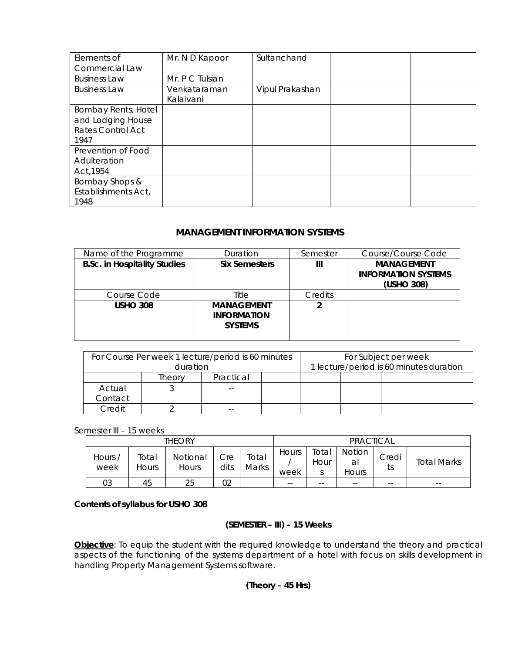| Elements of<br>Commercial Law                                         | Mr. N D Kapoor            | Sultanchand     |  |
|-----------------------------------------------------------------------|---------------------------|-----------------|--|
| <b>Business Law</b>                                                   | Mr. P C Tulsian           |                 |  |
| <b>Business Law</b>                                                   | Venkataraman<br>Kalaivani | Vipul Prakashan |  |
| Bombay Rents, Hotel<br>and Lodging House<br>Rates Control Act<br>1947 |                           |                 |  |
| Prevention of Food<br>Adulteration<br>Act, 1954                       |                           |                 |  |
| Bombay Shops &<br>Establishments Act,<br>1948                         |                           |                 |  |

# **MANAGEMENT INFORMATION SYSTEMS**

| Name of the Programme               | Duration                                                  | Semester | Course/Course Code                                            |
|-------------------------------------|-----------------------------------------------------------|----------|---------------------------------------------------------------|
| <b>B.Sc. in Hospitality Studies</b> | <b>Six Semesters</b>                                      | Ш        | <b>MANAGEMENT</b><br><b>INFORMATION SYSTEMS</b><br>(USHO 308) |
| Course Code                         | Title                                                     | Credits  |                                                               |
| <b>USHO 308</b>                     | <b>MANAGEMENT</b><br><b>INFORMATION</b><br><b>SYSTEMS</b> | 2        |                                                               |

|         |          | For Course Per week 1 lecture/period is 60 minutes | For Subject per week                    |  |  |  |  |  |  |
|---------|----------|----------------------------------------------------|-----------------------------------------|--|--|--|--|--|--|
|         | duration |                                                    | 1 lecture/period is 60 minutes duration |  |  |  |  |  |  |
|         | Theorv   | Practical                                          |                                         |  |  |  |  |  |  |
| Actual  |          | $- -$                                              |                                         |  |  |  |  |  |  |
| Contact |          |                                                    |                                         |  |  |  |  |  |  |
| Credit  |          | $- -$                                              |                                         |  |  |  |  |  |  |

Semester III – 15 weeks

|                 |                | THEORY                   |             |                | <b>PRACTICAL</b> |                    |                          |             |                    |  |  |
|-----------------|----------------|--------------------------|-------------|----------------|------------------|--------------------|--------------------------|-------------|--------------------|--|--|
| Hours /<br>week | Total<br>Hours | Notional<br><b>Hours</b> | Cre<br>dits | Total<br>Marks | Hours<br>week    | ™otal<br>Hour<br>c | Notion<br>al<br>Hours    | Credi<br>ts | <b>Total Marks</b> |  |  |
| 03              | 45             | 25                       | 02          |                | $- -$            | $- -$              | $\overline{\phantom{m}}$ | --          | $ -$               |  |  |

# **Contents of syllabus for USHO 308**

# **(SEMESTER – III) – 15 Weeks**

**Objective**: To equip the student with the required knowledge to understand the theory and practical aspects of the functioning of the systems department of a hotel with focus on skills development in handling Property Management Systems software.

# **(Theory – 45 Hrs)**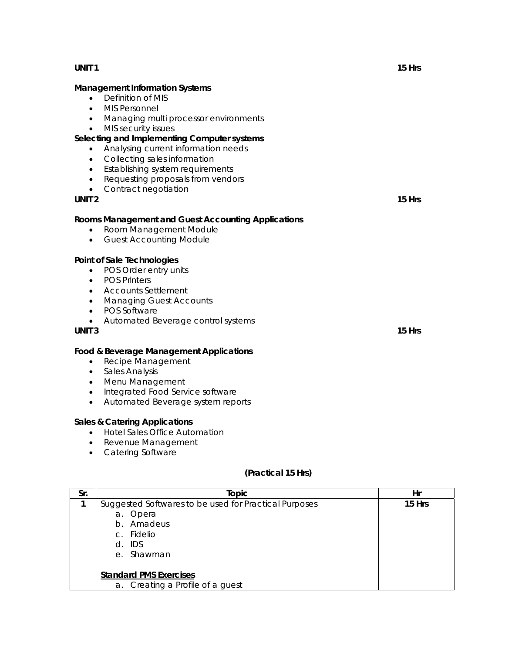#### **Management Information Systems**

- Definition of MIS
- MIS Personnel
- Managing multi processor environments
- MIS security issues

# **Selecting and Implementing Computer systems**

- Analysing current information needs
- Collecting sales information
- Establishing system requirements
- Requesting proposals from vendors
- Contract negotiation

#### **UNIT 2** 15 Hrs **15 Hrs**  15 Hrs **15 Hrs**  15 Hrs **15 Hrs 15 Hrs 15 Hrs 15 Hrs 15 Hrs 15 Hrs 15 Hrs 15 Hrs 15 Hrs 15 Hrs 15 Hrs 15 Hrs 15 Hrs 15 Hrs 15 Hrs 15 Hrs 15 Hrs 15 Hrs 15 Hrs 15 Hrs 15 Hrs 15**

#### **Rooms Management and Guest Accounting Applications**

- Room Management Module
- Guest Accounting Module

#### **Point of Sale Technologies**

- POS Order entry units
- POS Printers
- Accounts Settlement
- Managing Guest Accounts
- POS Software
- Automated Beverage control systems

#### **UNIT 3** 15 Hrs **15 Hrs**  15 Hrs **15 Hrs**  15 Hrs **15 Hrs**  15 Hrs **15 Hrs**  15 Hrs

#### **Food & Beverage Management Applications**

- Recipe Management
- Sales Analysis
- Menu Management
- Integrated Food Service software
- Automated Beverage system reports

#### **Sales & Catering Applications**

- Hotel Sales Office Automation
- Revenue Management
- Catering Software

#### **(Practical 15 Hrs)**

| Sr. | Topic                                                 | Hr     |
|-----|-------------------------------------------------------|--------|
|     | Suggested Softwares to be used for Practical Purposes | 15 Hrs |
|     | a. Opera                                              |        |
|     | b. Amadeus                                            |        |
|     | c. Fidelio                                            |        |
|     | $d.$ IDS                                              |        |
|     | e. Shawman                                            |        |
|     |                                                       |        |
|     | <b>Standard PMS Exercises</b>                         |        |
|     | a. Creating a Profile of a guest                      |        |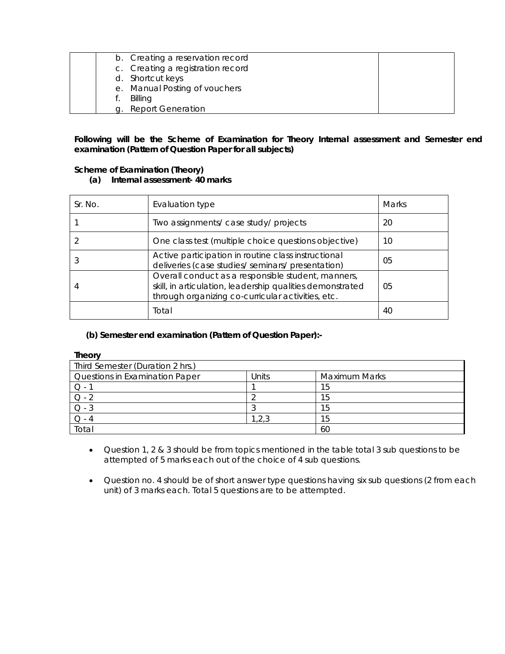| b. Creating a reservation record  |  |
|-----------------------------------|--|
| c. Creating a registration record |  |
| d. Shortcut keys                  |  |
| e. Manual Posting of vouchers     |  |
| Billing                           |  |
| g. Report Generation              |  |

# **Following will be the Scheme of Examination for Theory Internal assessment and Semester end examination (Pattern of Question Paper for all subjects)**

#### **Scheme of Examination (Theory)**

**(a) Internal assessment- 40 marks** 

| Sr. No. | Evaluation type                                                                                                                                                      | Marks |
|---------|----------------------------------------------------------------------------------------------------------------------------------------------------------------------|-------|
|         | Two assignments/ case study/ projects                                                                                                                                | 20    |
|         | One class test (multiple choice questions objective)                                                                                                                 | 10    |
|         | Active participation in routine class instructional<br>deliveries (case studies/ seminars/ presentation)                                                             | 05    |
|         | Overall conduct as a responsible student, manners,<br>skill, in articulation, leadership qualities demonstrated<br>through organizing co-curricular activities, etc. | 05    |
|         | Total                                                                                                                                                                | 40    |

# **(b) Semester end examination (Pattern of Question Paper):-**

| ۰<br>г |
|--------|
|--------|

| .                                |       |                      |  |
|----------------------------------|-------|----------------------|--|
| Third Semester (Duration 2 hrs.) |       |                      |  |
| Questions in Examination Paper   | Units | <b>Maximum Marks</b> |  |
|                                  |       | 15                   |  |
| $Q - 2$                          |       | 15                   |  |
| $O - 3$                          |       | 15                   |  |
|                                  | .2.3  | 15                   |  |
| Total                            |       | 60                   |  |

- Question 1, 2 & 3 should be from topics mentioned in the table total 3 sub questions to be attempted of 5 marks each out of the choice of 4 sub questions.
- Question no. 4 should be of short answer type questions having six sub questions (2 from each unit) of 3 marks each. Total 5 questions are to be attempted.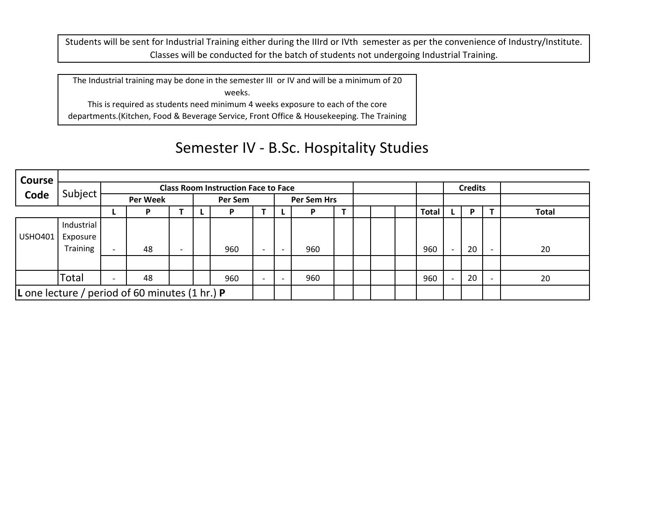Students will be sent for Industrial Training either during the IIIrd or IVth semester as per the convenience of Industry/Institute. Classes will be conducted for the batch of students not undergoing Industrial Training.

The Industrial training may be done in the semester III or IV and will be <sup>a</sup> minimum of 20 weeks.

This is required as students need minimum 4 weeks exposure to each of the core departments.(Kitchen, Food & Beverage Service, Front Office & Housekeeping. The Training

ll d'an deux de la habitat de la habitat de la habitat de la habitat de la habitat de la habitat de la habitat

h

Т

# Semester IV ‐ B.Sc. Hospitality Studies

| Course                                           |            |                                            |    |  |         |     |                          |  |     |  |  |  |  |                |  |    |  |              |
|--------------------------------------------------|------------|--------------------------------------------|----|--|---------|-----|--------------------------|--|-----|--|--|--|--|----------------|--|----|--|--------------|
|                                                  |            | <b>Class Room Instruction Face to Face</b> |    |  |         |     |                          |  |     |  |  |  |  | <b>Credits</b> |  |    |  |              |
| Code                                             | Subject    | <b>Per Week</b>                            |    |  | Per Sem |     | Per Sem Hrs              |  |     |  |  |  |  |                |  |    |  |              |
|                                                  |            |                                            |    |  |         | Р   |                          |  |     |  |  |  |  | <b>Total</b>   |  | P  |  | <b>Total</b> |
|                                                  | Industrial |                                            |    |  |         |     |                          |  |     |  |  |  |  |                |  |    |  |              |
| USHO401                                          | Exposure   |                                            |    |  |         |     |                          |  |     |  |  |  |  |                |  |    |  |              |
|                                                  | Training   |                                            | 48 |  |         | 960 | $\overline{\phantom{0}}$ |  | 960 |  |  |  |  | 960            |  | 20 |  | 20           |
|                                                  |            |                                            |    |  |         |     |                          |  |     |  |  |  |  |                |  |    |  |              |
|                                                  | Total      |                                            | 48 |  |         | 960 | $\overline{\phantom{0}}$ |  | 960 |  |  |  |  | 960            |  | 20 |  | 20           |
| L one lecture / period of 60 minutes (1 hr.) $P$ |            |                                            |    |  |         |     |                          |  |     |  |  |  |  |                |  |    |  |              |